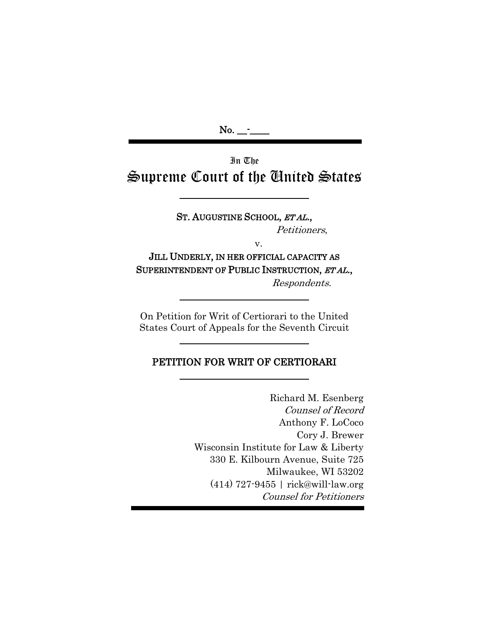$No.$   $\_\_$ 

 $\overline{\phantom{a}}$ 

In The Supreme Court of the United States

> ST. AUGUSTINE SCHOOL, ETAL., Petitioners,

> > v.

JILL UNDERLY, IN HER OFFICIAL CAPACITY AS SUPERINTENDENT OF PUBLIC INSTRUCTION, ET AL.,

Respondents.

On Petition for Writ of Certiorari to the United States Court of Appeals for the Seventh Circuit

### PETITION FOR WRIT OF CERTIORARI

 Richard M. Esenberg Counsel of Record Anthony F. LoCoco Cory J. Brewer Wisconsin Institute for Law & Liberty 330 E. Kilbourn Avenue, Suite 725 Milwaukee, WI 53202 (414) 727-9455 | rick@will-law.org Counsel for Petitioners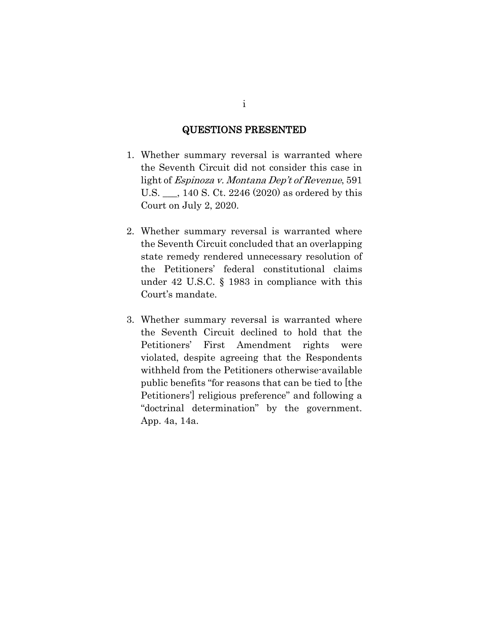### QUESTIONS PRESENTED

- 1. Whether summary reversal is warranted where the Seventh Circuit did not consider this case in light of Espinoza v. Montana Dep't of Revenue, 591 U.S. \_\_\_, 140 S. Ct. 2246 (2020) as ordered by this Court on July 2, 2020.
- 2. Whether summary reversal is warranted where the Seventh Circuit concluded that an overlapping state remedy rendered unnecessary resolution of the Petitioners' federal constitutional claims under 42 U.S.C. § 1983 in compliance with this Court's mandate.
- 3. Whether summary reversal is warranted where the Seventh Circuit declined to hold that the Petitioners' First Amendment rights were violated, despite agreeing that the Respondents withheld from the Petitioners otherwise-available public benefits "for reasons that can be tied to [the Petitioners'] religious preference" and following a "doctrinal determination" by the government. App. 4a, 14a.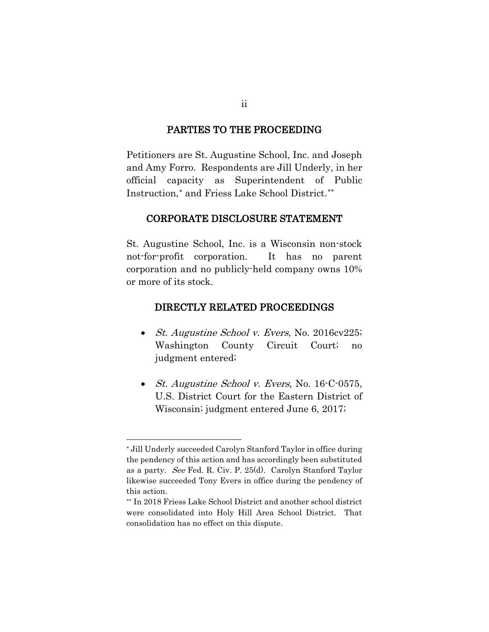### PARTIES TO THE PROCEEDING

Petitioners are St. Augustine School, Inc. and Joseph and Amy Forro. Respondents are Jill Underly, in her official capacity as Superintendent of Public Instruction,[∗](#page-2-0) and Friess Lake School District.[\\*\\*](#page-2-1)

#### CORPORATE DISCLOSURE STATEMENT

St. Augustine School, Inc. is a Wisconsin non-stock not-for-profit corporation. It has no parent corporation and no publicly-held company owns 10% or more of its stock.

#### DIRECTLY RELATED PROCEEDINGS

- *St. Augustine School v. Evers, No.* 2016cv225; Washington County Circuit Court; no judgment entered;
- *St. Augustine School v. Evers, No.* 16-C-0575, U.S. District Court for the Eastern District of Wisconsin; judgment entered June 6, 2017;

<span id="page-2-0"></span><sup>∗</sup> Jill Underly succeeded Carolyn Stanford Taylor in office during the pendency of this action and has accordingly been substituted as a party. See Fed. R. Civ. P. 25(d). Carolyn Stanford Taylor likewise succeeded Tony Evers in office during the pendency of this action.

<span id="page-2-1"></span><sup>\*\*</sup> In 2018 Friess Lake School District and another school district were consolidated into Holy Hill Area School District. That consolidation has no effect on this dispute.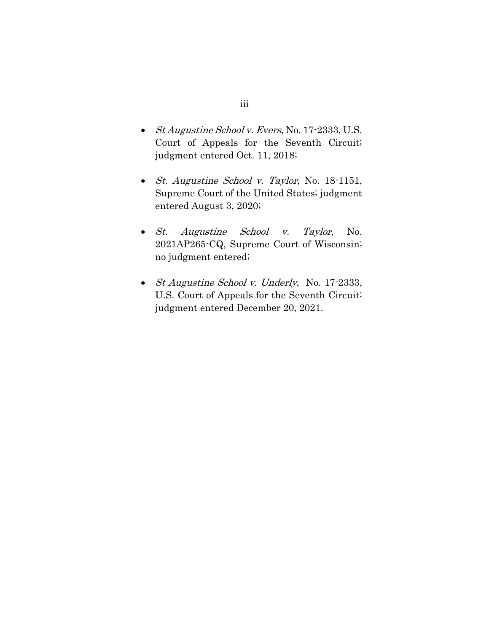- St Augustine School v. Evers, No. 17-2333, U.S. Court of Appeals for the Seventh Circuit; judgment entered Oct. 11, 2018;
- St. Augustine School v. Taylor, No. 18-1151, Supreme Court of the United States; judgment entered August 3, 2020;
- St. Augustine School v. Taylor, No. 2021AP265-CQ, Supreme Court of Wisconsin; no judgment entered;
- *St Augustine School v. Underly, No.* 17-2333, U.S. Court of Appeals for the Seventh Circuit; judgment entered December 20, 2021.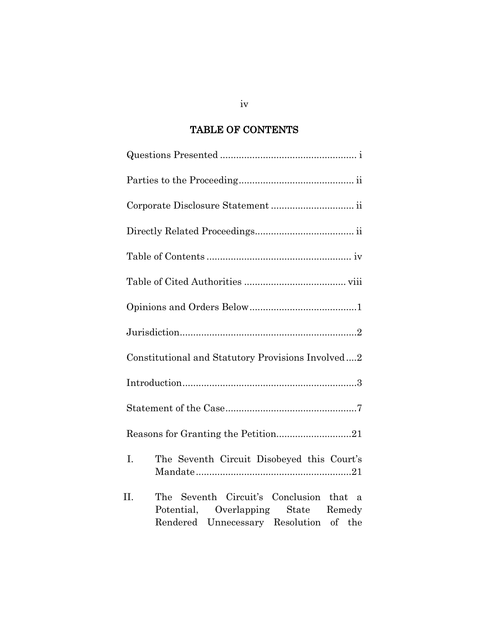# TABLE OF CONTENTS

| Constitutional and Statutory Provisions Involved2                                                                              |
|--------------------------------------------------------------------------------------------------------------------------------|
|                                                                                                                                |
|                                                                                                                                |
|                                                                                                                                |
| The Seventh Circuit Disobeyed this Court's<br>I.                                                                               |
| The Seventh Circuit's Conclusion that a<br>П.<br>Potential, Overlapping State Remedy<br>Rendered Unnecessary Resolution of the |

iv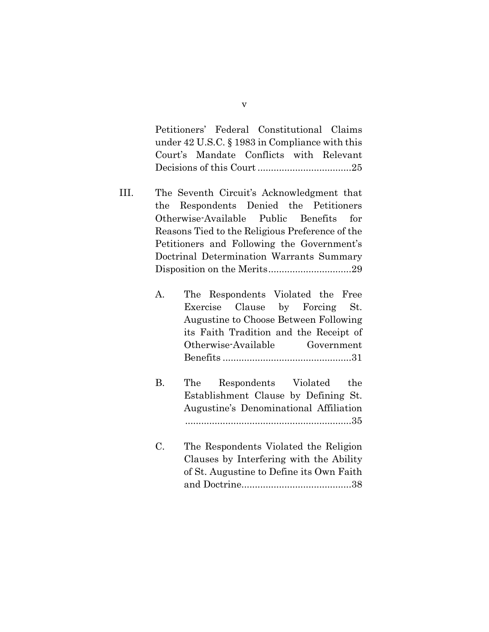Petitioners' Federal Constitutional Claims under 42 U.S.C. § 1983 in Compliance with this Court's Mandate Conflicts with Relevant Decisions of this Court...................................25

- III. The Seventh Circuit's Acknowledgment that the Respondents Denied the Petitioners Otherwise-Available Public Benefits for Reasons Tied to the Religious Preference of the Petitioners and Following the Government's Doctrinal Determination Warrants Summary Disposition on the Merits...............................29
	- A. The Respondents Violated the Free Exercise Clause by Forcing St. Augustine to Choose Between Following its Faith Tradition and the Receipt of Otherwise-Available Government Benefits ................................................31
	- B. The Respondents Violated the Establishment Clause by Defining St. Augustine's Denominational Affiliation ..............................................................35
	- C. The Respondents Violated the Religion Clauses by Interfering with the Ability of St. Augustine to Define its Own Faith and Doctrine.........................................38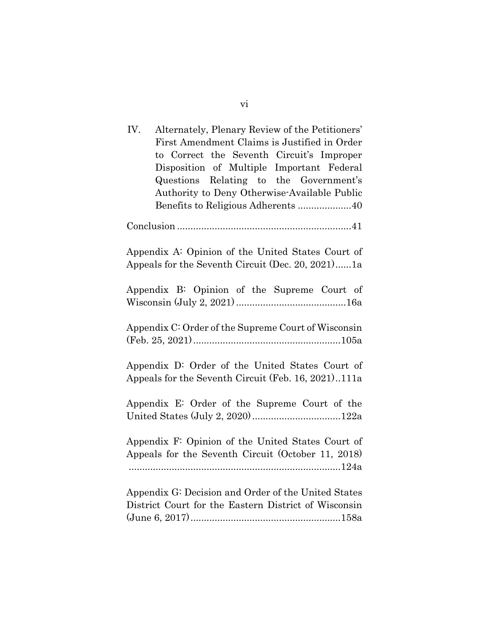| IV.<br>Alternately, Plenary Review of the Petitioners'<br>First Amendment Claims is Justified in Order<br>to Correct the Seventh Circuit's Improper<br>Disposition of Multiple Important Federal<br>Questions Relating to the Government's<br>Authority to Deny Otherwise-Available Public |  |  |
|--------------------------------------------------------------------------------------------------------------------------------------------------------------------------------------------------------------------------------------------------------------------------------------------|--|--|
|                                                                                                                                                                                                                                                                                            |  |  |
|                                                                                                                                                                                                                                                                                            |  |  |
| Appendix A: Opinion of the United States Court of<br>Appeals for the Seventh Circuit (Dec. 20, 2021)1a                                                                                                                                                                                     |  |  |
| Appendix B: Opinion of the Supreme Court of                                                                                                                                                                                                                                                |  |  |
| Appendix C: Order of the Supreme Court of Wisconsin                                                                                                                                                                                                                                        |  |  |
| Appendix D: Order of the United States Court of<br>Appeals for the Seventh Circuit (Feb. 16, 2021)111a                                                                                                                                                                                     |  |  |
| Appendix E: Order of the Supreme Court of the                                                                                                                                                                                                                                              |  |  |
| Appendix F: Opinion of the United States Court of<br>Appeals for the Seventh Circuit (October 11, 2018)                                                                                                                                                                                    |  |  |
| Appendix G: Decision and Order of the United States<br>District Court for the Eastern District of Wisconsin                                                                                                                                                                                |  |  |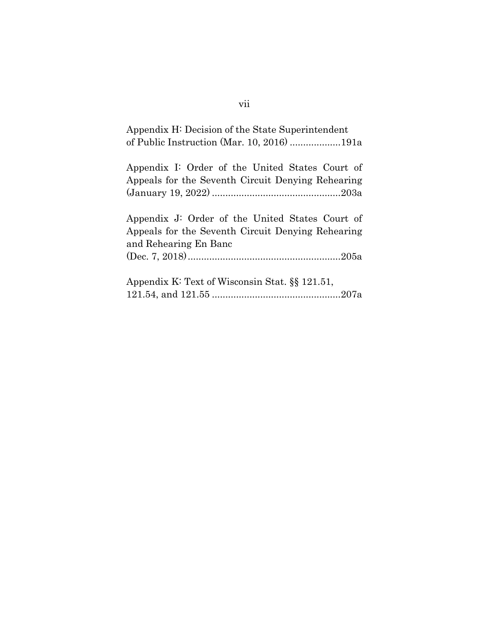| Appendix H: Decision of the State Superintendent<br>of Public Instruction (Mar. 10, 2016) 191a                                |
|-------------------------------------------------------------------------------------------------------------------------------|
| Appendix I: Order of the United States Court of<br>Appeals for the Seventh Circuit Denying Rehearing                          |
| Appendix J: Order of the United States Court of<br>Appeals for the Seventh Circuit Denying Rehearing<br>and Rehearing En Banc |
| Appendix K: Text of Wisconsin Stat. §§ 121.51,                                                                                |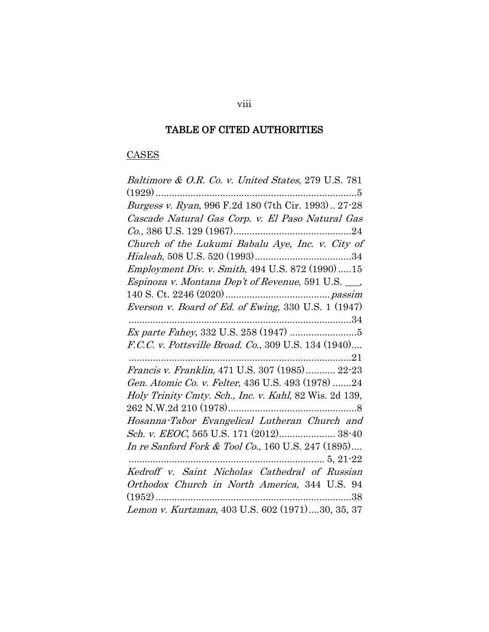# TABLE OF CITED AUTHORITIES

# **CASES**

| Baltimore & O.R. Co. v. United States, 279 U.S. 781                     |
|-------------------------------------------------------------------------|
|                                                                         |
|                                                                         |
| Cascade Natural Gas Corp. v. El Paso Natural Gas                        |
|                                                                         |
| Church of the Lukumi Babalu Aye, Inc. v. City of                        |
|                                                                         |
| Employment Div. v. Smith, 494 U.S. 872 (1990)15                         |
| <i>Espinoza v. Montana Dep't of Revenue</i> , 591 U.S. <sub>___</sub> , |
|                                                                         |
| Everson v. Board of Ed. of Ewing, 330 U.S. 1 (1947)                     |
|                                                                         |
|                                                                         |
| F.C.C. v. Pottsville Broad. Co., 309 U.S. 134 (1940)                    |
|                                                                         |
| Francis v. Franklin, 471 U.S. 307 (1985) 22-23                          |
| Gen. Atomic Co. v. Felter, 436 U.S. 493 (1978) 24                       |
| Holy Trinity Cmty. Sch., Inc. v. Kahl, 82 Wis. 2d 139,                  |
|                                                                         |
| Hosanna-Tabor Evangelical Lutheran Church and                           |
| Sch. v. EEOC, 565 U.S. 171 (2012) 38-40                                 |
| In re Sanford Fork & Tool Co., 160 U.S. 247 (1895)                      |
|                                                                         |
| Kedroff v. Saint Nicholas Cathedral of Russian                          |
| Orthodox Church in North America, 344 U.S. 94                           |
| 38                                                                      |
| Lemon v. Kurtzman, 403 U.S. 602 (1971)30, 35, 37                        |

viii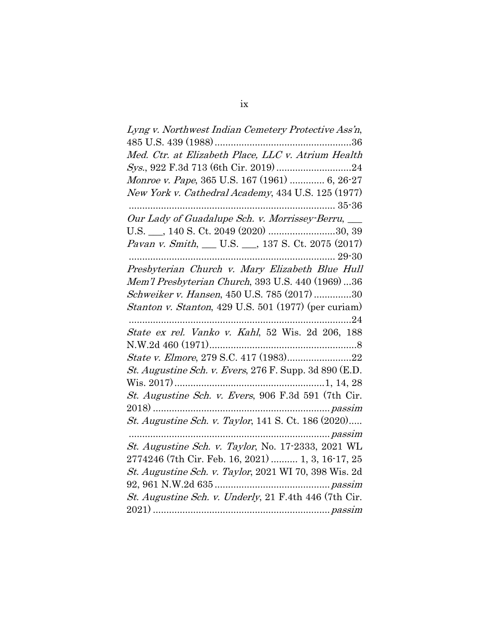| Lyng v. Northwest Indian Cemetery Protective Ass'n,           |
|---------------------------------------------------------------|
|                                                               |
| Med. Ctr. at Elizabeth Place, LLC v. Atrium Health            |
|                                                               |
| Monroe v. Pape, 365 U.S. 167 (1961)  6, 26-27                 |
| New York v. Cathedral Academy, 434 U.S. 125 (1977)            |
|                                                               |
| Our Lady of Guadalupe Sch. v. Morrissey-Berru, __             |
|                                                               |
| Pavan v. Smith, __ U.S. __, 137 S. Ct. 2075 (2017)            |
|                                                               |
| Presbyterian Church v. Mary Elizabeth Blue Hull               |
| Mem'l Presbyterian Church, 393 U.S. 440 (1969)36              |
| Schweiker v. Hansen, 450 U.S. 785 (2017) 30                   |
| Stanton v. Stanton, 429 U.S. 501 (1977) (per curiam)          |
|                                                               |
| State ex rel. Vanko v. Kahl, 52 Wis. 2d 206, 188              |
|                                                               |
| State v. Elmore, 279 S.C. 417 (1983)22                        |
| <i>St. Augustine Sch. v. Evers,</i> 276 F. Supp. 3d 890 (E.D. |
|                                                               |
| St. Augustine Sch. v. Evers, 906 F.3d 591 (7th Cir.           |
|                                                               |
| St. Augustine Sch. v. Taylor, 141 S. Ct. 186 (2020)           |
|                                                               |
| St. Augustine Sch. v. Taylor, No. 17-2333, 2021 WL            |
| 2774246 (7th Cir. Feb. 16, 2021)  1, 3, 16-17, 25             |
| St. Augustine Sch. v. Taylor, 2021 WI 70, 398 Wis. 2d         |
|                                                               |
| St. Augustine Sch. v. Underly, 21 F.4th 446 (7th Cir.         |
|                                                               |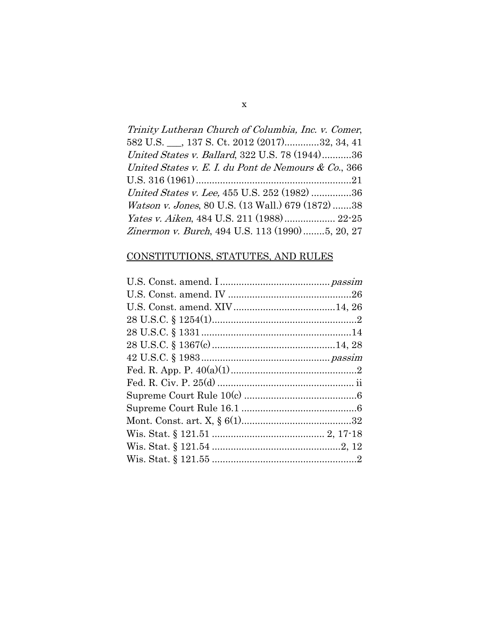| Trinity Lutheran Church of Columbia, Inc. v. Comer,       |
|-----------------------------------------------------------|
| 582 U.S. ___, 137 S. Ct. 2012 (2017)32, 34, 41            |
| United States v. Ballard, 322 U.S. 78 (1944)36            |
| United States v. E. I. du Pont de Nemours & Co., 366      |
|                                                           |
| United States v. Lee, 455 U.S. 252 (1982) 36              |
| <i>Watson v. Jones</i> , 80 U.S. (13 Wall.) 679 (1872) 38 |
|                                                           |
| Zinermon v. Burch, 494 U.S. 113 (1990)5, 20, 27           |

# CONSTITUTIONS, STATUTES, AND RULES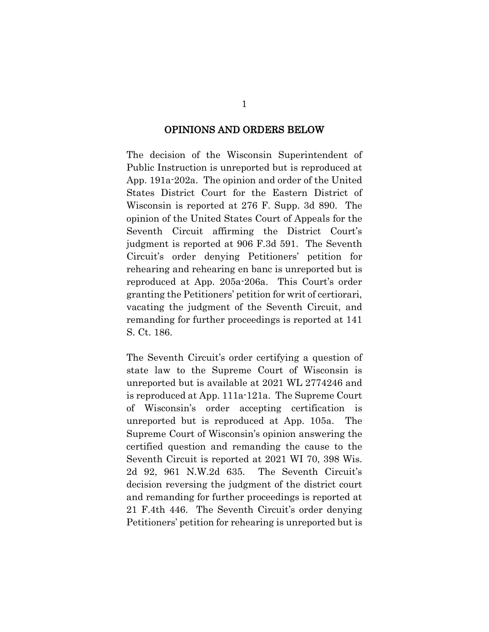#### OPINIONS AND ORDERS BELOW

The decision of the Wisconsin Superintendent of Public Instruction is unreported but is reproduced at App. 191a-202a. The opinion and order of the United States District Court for the Eastern District of Wisconsin is reported at 276 F. Supp. 3d 890. The opinion of the United States Court of Appeals for the Seventh Circuit affirming the District Court's judgment is reported at 906 F.3d 591. The Seventh Circuit's order denying Petitioners' petition for rehearing and rehearing en banc is unreported but is reproduced at App. 205a-206a. This Court's order granting the Petitioners' petition for writ of certiorari, vacating the judgment of the Seventh Circuit, and remanding for further proceedings is reported at 141 S. Ct. 186.

The Seventh Circuit's order certifying a question of state law to the Supreme Court of Wisconsin is unreported but is available at 2021 WL 2774246 and is reproduced at App. 111a-121a. The Supreme Court of Wisconsin's order accepting certification is unreported but is reproduced at App. 105a. The Supreme Court of Wisconsin's opinion answering the certified question and remanding the cause to the Seventh Circuit is reported at 2021 WI 70, 398 Wis. 2d 92, 961 N.W.2d 635. The Seventh Circuit's decision reversing the judgment of the district court and remanding for further proceedings is reported at 21 F.4th 446. The Seventh Circuit's order denying Petitioners' petition for rehearing is unreported but is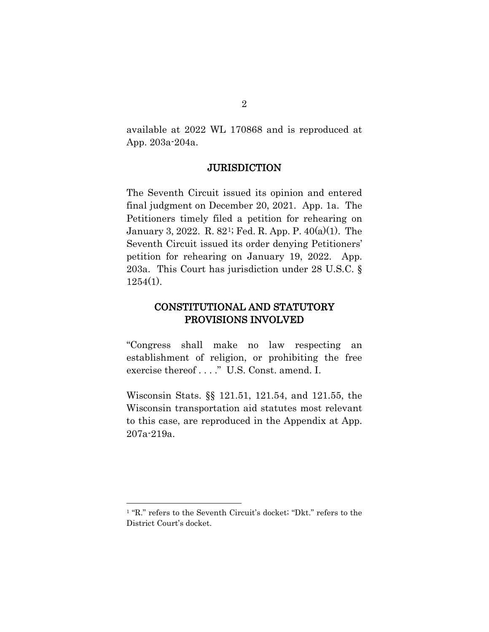available at 2022 WL 170868 and is reproduced at App. 203a-204a.

#### **JURISDICTION**

The Seventh Circuit issued its opinion and entered final judgment on December 20, 2021. App. 1a. The Petitioners timely filed a petition for rehearing on January 3, 2022. R. 82[1;](#page-12-0) Fed. R. App. P. 40(a)(1). The Seventh Circuit issued its order denying Petitioners' petition for rehearing on January 19, 2022. App. 203a. This Court has jurisdiction under 28 U.S.C. § 1254(1).

### CONSTITUTIONAL AND STATUTORY PROVISIONS INVOLVED

"Congress shall make no law respecting an establishment of religion, or prohibiting the free exercise thereof . . . ." U.S. Const. amend. I.

Wisconsin Stats. §§ 121.51, 121.54, and 121.55, the Wisconsin transportation aid statutes most relevant to this case, are reproduced in the Appendix at App. 207a-219a.

<span id="page-12-0"></span><sup>1</sup> "R." refers to the Seventh Circuit's docket; "Dkt." refers to the District Court's docket.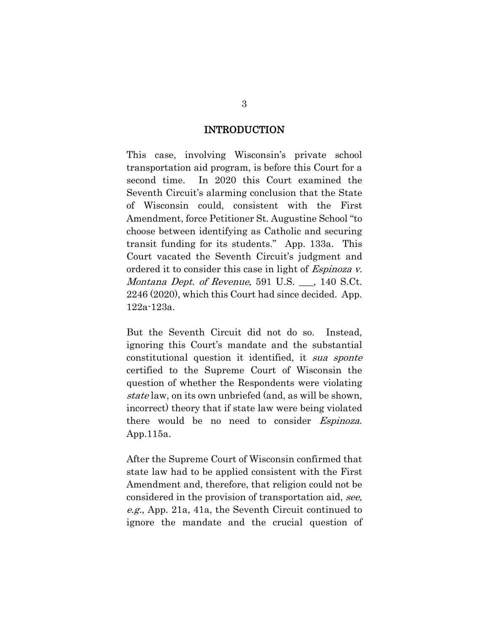#### INTRODUCTION

This case, involving Wisconsin's private school transportation aid program, is before this Court for a second time. In 2020 this Court examined the Seventh Circuit's alarming conclusion that the State of Wisconsin could, consistent with the First Amendment, force Petitioner St. Augustine School "to choose between identifying as Catholic and securing transit funding for its students." App. 133a. This Court vacated the Seventh Circuit's judgment and ordered it to consider this case in light of Espinoza v. Montana Dept. of Revenue, 591 U.S. \_\_, 140 S.Ct. 2246 (2020), which this Court had since decided. App. 122a-123a.

But the Seventh Circuit did not do so. Instead, ignoring this Court's mandate and the substantial constitutional question it identified, it sua sponte certified to the Supreme Court of Wisconsin the question of whether the Respondents were violating state law, on its own unbriefed (and, as will be shown, incorrect) theory that if state law were being violated there would be no need to consider *Espinoza*. App.115a.

After the Supreme Court of Wisconsin confirmed that state law had to be applied consistent with the First Amendment and, therefore, that religion could not be considered in the provision of transportation aid, see, e.g., App. 21a, 41a, the Seventh Circuit continued to ignore the mandate and the crucial question of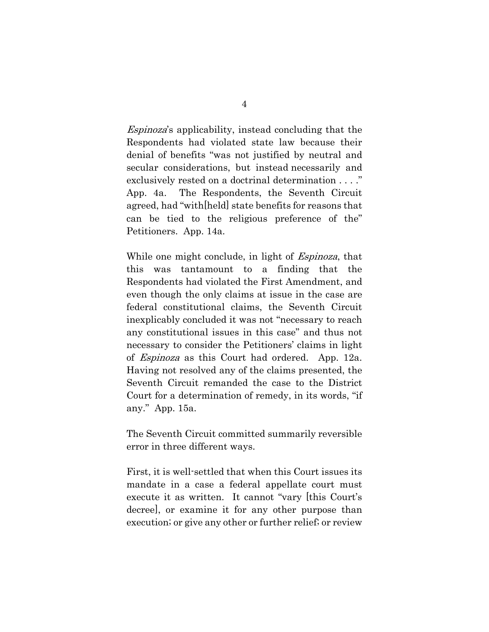Espinoza's applicability, instead concluding that the Respondents had violated state law because their denial of benefits "was not justified by neutral and secular considerations, but instead necessarily and exclusively rested on a doctrinal determination . . . ." App. 4a. The Respondents, the Seventh Circuit agreed, had "with[held] state benefits for reasons that can be tied to the religious preference of the" Petitioners. App. 14a.

While one might conclude, in light of Espinoza, that this was tantamount to a finding that the Respondents had violated the First Amendment, and even though the only claims at issue in the case are federal constitutional claims, the Seventh Circuit inexplicably concluded it was not "necessary to reach any constitutional issues in this case" and thus not necessary to consider the Petitioners' claims in light of Espinoza as this Court had ordered. App. 12a. Having not resolved any of the claims presented, the Seventh Circuit remanded the case to the District Court for a determination of remedy, in its words, "if any." App. 15a.

The Seventh Circuit committed summarily reversible error in three different ways.

First, it is well-settled that when this Court issues its mandate in a case a federal appellate court must execute it as written. It cannot "vary [this Court's decree], or examine it for any other purpose than execution; or give any other or further relief; or review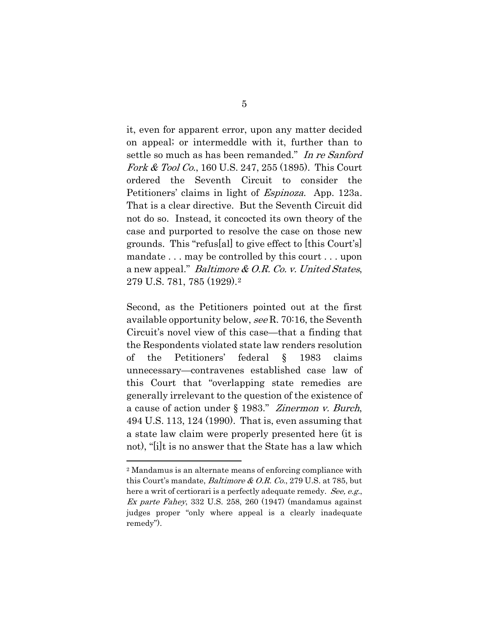it, even for apparent error, upon any matter decided on appeal; or intermeddle with it, further than to settle so much as has been remanded." In re Sanford Fork & Tool Co., 160 U.S. 247, 255 (1895). This Court ordered the Seventh Circuit to consider the Petitioners' claims in light of *Espinoza*. App. 123a. That is a clear directive. But the Seventh Circuit did not do so. Instead, it concocted its own theory of the case and purported to resolve the case on those new grounds. This "refus[al] to give effect to [this Court's] mandate . . . may be controlled by this court . . . upon a new appeal." Baltimore & O.R. Co. v. United States, 279 U.S. 781, 785 (1929).[2](#page-15-0)

Second, as the Petitioners pointed out at the first available opportunity below, see R. 70:16, the Seventh Circuit's novel view of this case—that a finding that the Respondents violated state law renders resolution of the Petitioners' federal § 1983 claims unnecessary—contravenes established case law of this Court that "overlapping state remedies are generally irrelevant to the question of the existence of a cause of action under § 1983." Zinermon v. Burch, 494 U.S. 113, 124 (1990). That is, even assuming that a state law claim were properly presented here (it is not), "[i]t is no answer that the State has a law which

<span id="page-15-0"></span><sup>2</sup> Mandamus is an alternate means of enforcing compliance with this Court's mandate, Baltimore & O.R. Co., 279 U.S. at 785, but here a writ of certiorari is a perfectly adequate remedy. See, e.g., Ex parte Fahey, 332 U.S. 258, 260 (1947) (mandamus against judges proper "only where appeal is a clearly inadequate remedy").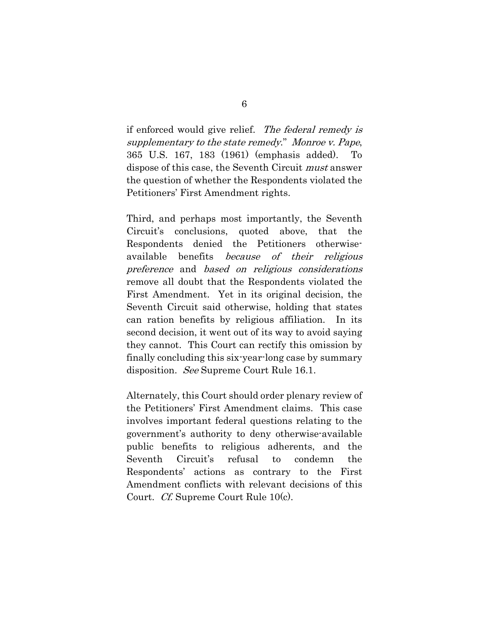if enforced would give relief. The federal remedy is supplementary to the state remedy." Monroe v. Pape, 365 U.S. 167, 183 (1961) (emphasis added). To dispose of this case, the Seventh Circuit must answer the question of whether the Respondents violated the Petitioners' First Amendment rights.

Third, and perhaps most importantly, the Seventh Circuit's conclusions, quoted above, that the Respondents denied the Petitioners otherwiseavailable benefits because of their religious preference and based on religious considerations remove all doubt that the Respondents violated the First Amendment. Yet in its original decision, the Seventh Circuit said otherwise, holding that states can ration benefits by religious affiliation. In its second decision, it went out of its way to avoid saying they cannot. This Court can rectify this omission by finally concluding this six-year-long case by summary disposition. See Supreme Court Rule 16.1.

Alternately, this Court should order plenary review of the Petitioners' First Amendment claims. This case involves important federal questions relating to the government's authority to deny otherwise-available public benefits to religious adherents, and the Seventh Circuit's refusal to condemn the Respondents' actions as contrary to the First Amendment conflicts with relevant decisions of this Court. Cf. Supreme Court Rule 10(c).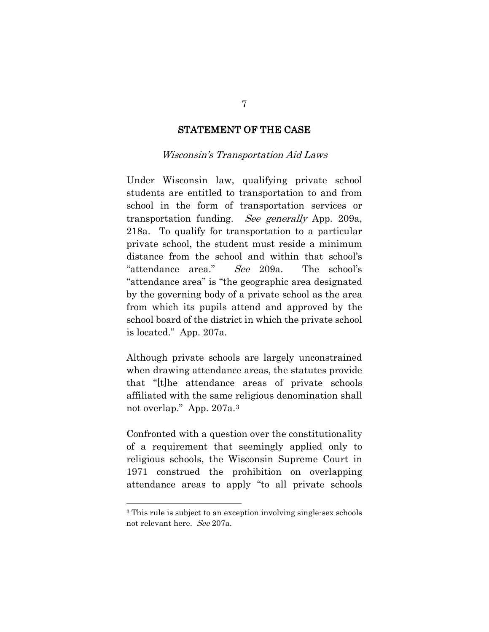### STATEMENT OF THE CASE

#### Wisconsin's Transportation Aid Laws

Under Wisconsin law, qualifying private school students are entitled to transportation to and from school in the form of transportation services or transportation funding. See generally App. 209a, 218a. To qualify for transportation to a particular private school, the student must reside a minimum distance from the school and within that school's "attendance area." See 209a. The school's "attendance area" is "the geographic area designated by the governing body of a private school as the area from which its pupils attend and approved by the school board of the district in which the private school is located." App. 207a.

Although private schools are largely unconstrained when drawing attendance areas, the statutes provide that "[t]he attendance areas of private schools affiliated with the same religious denomination shall not overlap." App. 207a.[3](#page-17-0)

Confronted with a question over the constitutionality of a requirement that seemingly applied only to religious schools, the Wisconsin Supreme Court in 1971 construed the prohibition on overlapping attendance areas to apply "to all private schools

7

<span id="page-17-0"></span><sup>3</sup> This rule is subject to an exception involving single-sex schools not relevant here. See 207a.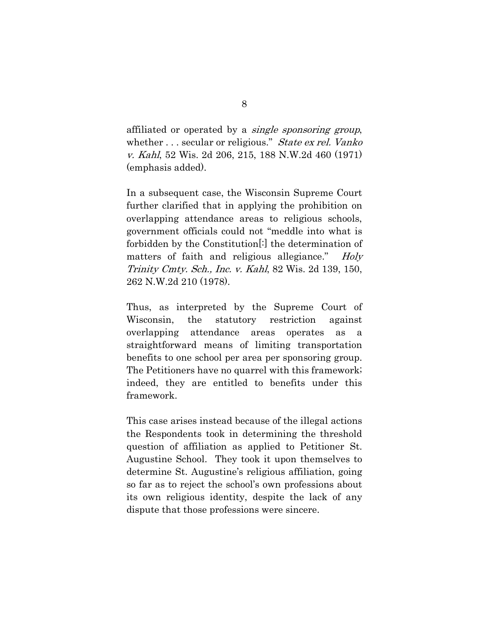affiliated or operated by a *single sponsoring group*, whether . . . secular or religious." State ex rel. Vanko v. Kahl, 52 Wis. 2d 206, 215, 188 N.W.2d 460 (1971) (emphasis added).

In a subsequent case, the Wisconsin Supreme Court further clarified that in applying the prohibition on overlapping attendance areas to religious schools, government officials could not "meddle into what is forbidden by the Constitution[:] the determination of matters of faith and religious allegiance." Holy Trinity Cmty. Sch., Inc. v. Kahl, 82 Wis. 2d 139, 150, 262 N.W.2d 210 (1978).

Thus, as interpreted by the Supreme Court of Wisconsin, the statutory restriction against overlapping attendance areas operates as a straightforward means of limiting transportation benefits to one school per area per sponsoring group. The Petitioners have no quarrel with this framework; indeed, they are entitled to benefits under this framework.

This case arises instead because of the illegal actions the Respondents took in determining the threshold question of affiliation as applied to Petitioner St. Augustine School. They took it upon themselves to determine St. Augustine's religious affiliation, going so far as to reject the school's own professions about its own religious identity, despite the lack of any dispute that those professions were sincere.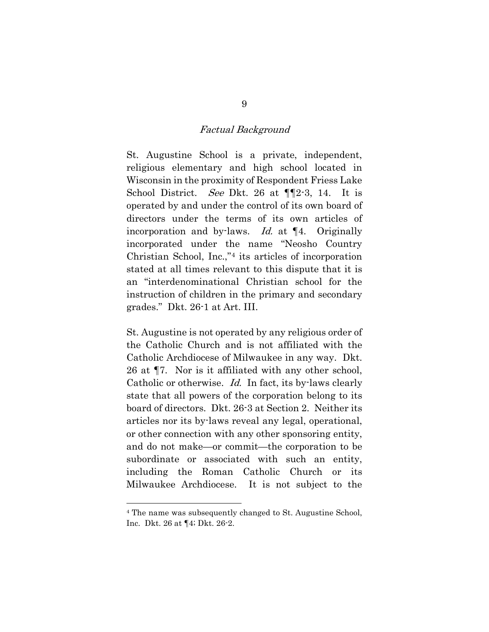#### Factual Background

St. Augustine School is a private, independent, religious elementary and high school located in Wisconsin in the proximity of Respondent Friess Lake School District. See Dkt. 26 at  $\P$ [2-3, 14. It is operated by and under the control of its own board of directors under the terms of its own articles of incorporation and by-laws. Id. at ¶4. Originally incorporated under the name "Neosho Country Christian School, Inc.,"[4](#page-19-0) its articles of incorporation stated at all times relevant to this dispute that it is an "interdenominational Christian school for the instruction of children in the primary and secondary grades." Dkt. 26-1 at Art. III.

St. Augustine is not operated by any religious order of the Catholic Church and is not affiliated with the Catholic Archdiocese of Milwaukee in any way. Dkt. 26 at ¶7. Nor is it affiliated with any other school, Catholic or otherwise. Id. In fact, its by-laws clearly state that all powers of the corporation belong to its board of directors. Dkt. 26-3 at Section 2. Neither its articles nor its by-laws reveal any legal, operational, or other connection with any other sponsoring entity, and do not make—or commit—the corporation to be subordinate or associated with such an entity, including the Roman Catholic Church or its Milwaukee Archdiocese. It is not subject to the

<span id="page-19-0"></span><sup>4</sup> The name was subsequently changed to St. Augustine School, Inc. Dkt. 26 at ¶4; Dkt. 26-2.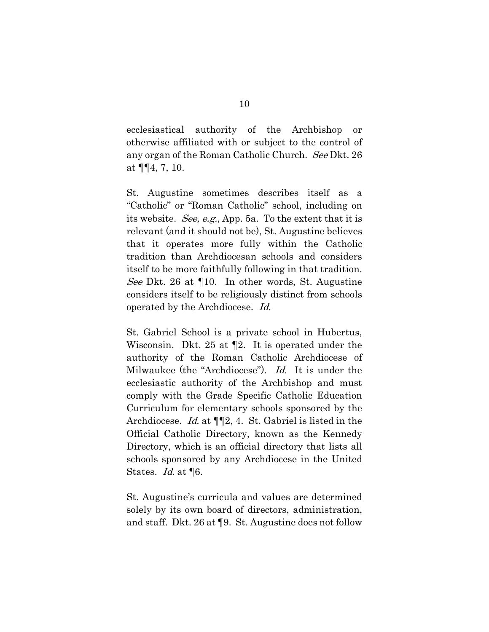ecclesiastical authority of the Archbishop or otherwise affiliated with or subject to the control of any organ of the Roman Catholic Church. See Dkt. 26 at ¶¶4, 7, 10.

St. Augustine sometimes describes itself as a "Catholic" or "Roman Catholic" school, including on its website. See, e.g., App. 5a. To the extent that it is relevant (and it should not be), St. Augustine believes that it operates more fully within the Catholic tradition than Archdiocesan schools and considers itself to be more faithfully following in that tradition. See Dkt. 26 at ¶10. In other words, St. Augustine considers itself to be religiously distinct from schools operated by the Archdiocese. Id.

St. Gabriel School is a private school in Hubertus, Wisconsin. Dkt. 25 at ¶2. It is operated under the authority of the Roman Catholic Archdiocese of Milwaukee (the "Archdiocese"). Id. It is under the ecclesiastic authority of the Archbishop and must comply with the Grade Specific Catholic Education Curriculum for elementary schools sponsored by the Archdiocese. Id. at ¶¶2, 4. St. Gabriel is listed in the Official Catholic Directory, known as the Kennedy Directory, which is an official directory that lists all schools sponsored by any Archdiocese in the United States. *Id.* at **[6.**]

St. Augustine's curricula and values are determined solely by its own board of directors, administration, and staff. Dkt. 26 at ¶9. St. Augustine does not follow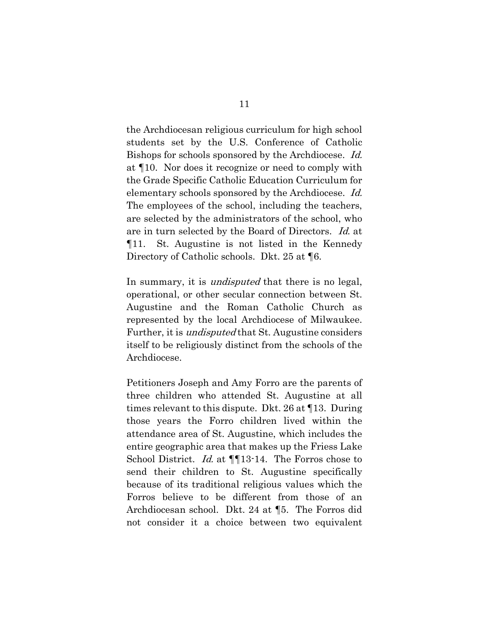the Archdiocesan religious curriculum for high school students set by the U.S. Conference of Catholic Bishops for schools sponsored by the Archdiocese. Id. at ¶10. Nor does it recognize or need to comply with the Grade Specific Catholic Education Curriculum for elementary schools sponsored by the Archdiocese. Id. The employees of the school, including the teachers, are selected by the administrators of the school, who are in turn selected by the Board of Directors. Id. at ¶11. St. Augustine is not listed in the Kennedy Directory of Catholic schools. Dkt. 25 at ¶6.

In summary, it is *undisputed* that there is no legal, operational, or other secular connection between St. Augustine and the Roman Catholic Church as represented by the local Archdiocese of Milwaukee. Further, it is undisputed that St. Augustine considers itself to be religiously distinct from the schools of the Archdiocese.

Petitioners Joseph and Amy Forro are the parents of three children who attended St. Augustine at all times relevant to this dispute. Dkt. 26 at ¶13. During those years the Forro children lived within the attendance area of St. Augustine, which includes the entire geographic area that makes up the Friess Lake School District. Id. at  $\P$ [13-14. The Forros chose to send their children to St. Augustine specifically because of its traditional religious values which the Forros believe to be different from those of an Archdiocesan school. Dkt. 24 at ¶5. The Forros did not consider it a choice between two equivalent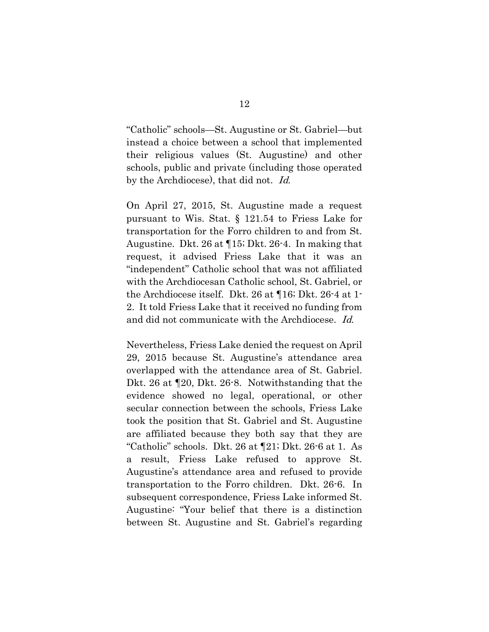"Catholic" schools—St. Augustine or St. Gabriel—but instead a choice between a school that implemented their religious values (St. Augustine) and other schools, public and private (including those operated by the Archdiocese), that did not. Id.

On April 27, 2015, St. Augustine made a request pursuant to Wis. Stat. § 121.54 to Friess Lake for transportation for the Forro children to and from St. Augustine. Dkt. 26 at ¶15; Dkt. 26-4. In making that request, it advised Friess Lake that it was an "independent" Catholic school that was not affiliated with the Archdiocesan Catholic school, St. Gabriel, or the Archdiocese itself. Dkt. 26 at ¶16; Dkt. 26-4 at 1- 2. It told Friess Lake that it received no funding from and did not communicate with the Archdiocese. Id.

Nevertheless, Friess Lake denied the request on April 29, 2015 because St. Augustine's attendance area overlapped with the attendance area of St. Gabriel. Dkt. 26 at ¶20, Dkt. 26-8. Notwithstanding that the evidence showed no legal, operational, or other secular connection between the schools, Friess Lake took the position that St. Gabriel and St. Augustine are affiliated because they both say that they are "Catholic" schools. Dkt. 26 at ¶21; Dkt. 26-6 at 1. As a result, Friess Lake refused to approve St. Augustine's attendance area and refused to provide transportation to the Forro children. Dkt. 26-6. In subsequent correspondence, Friess Lake informed St. Augustine: "Your belief that there is a distinction between St. Augustine and St. Gabriel's regarding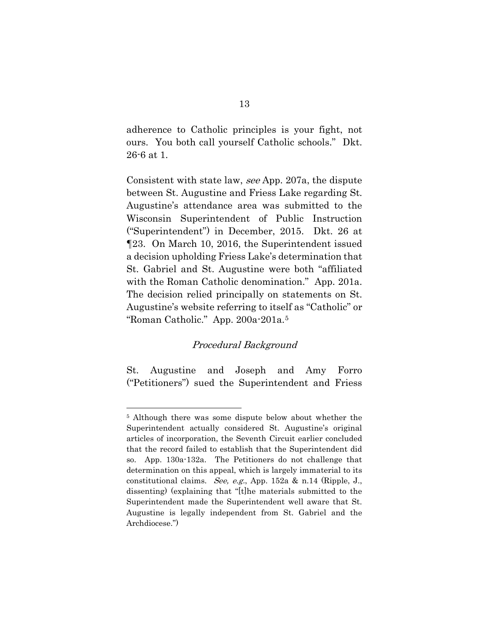adherence to Catholic principles is your fight, not ours. You both call yourself Catholic schools." Dkt. 26-6 at 1.

Consistent with state law, see App. 207a, the dispute between St. Augustine and Friess Lake regarding St. Augustine's attendance area was submitted to the Wisconsin Superintendent of Public Instruction ("Superintendent") in December, 2015. Dkt. 26 at ¶23. On March 10, 2016, the Superintendent issued a decision upholding Friess Lake's determination that St. Gabriel and St. Augustine were both "affiliated with the Roman Catholic denomination." App. 201a. The decision relied principally on statements on St. Augustine's website referring to itself as "Catholic" or "Roman Catholic." App. 200a-201a.[5](#page-23-0)

#### Procedural Background

St. Augustine and Joseph and Amy Forro ("Petitioners") sued the Superintendent and Friess

<span id="page-23-0"></span><sup>5</sup> Although there was some dispute below about whether the Superintendent actually considered St. Augustine's original articles of incorporation, the Seventh Circuit earlier concluded that the record failed to establish that the Superintendent did so. App. 130a-132a. The Petitioners do not challenge that determination on this appeal, which is largely immaterial to its constitutional claims. See, e.g., App. 152a & n.14 (Ripple, J., dissenting) (explaining that "[t]he materials submitted to the Superintendent made the Superintendent well aware that St. Augustine is legally independent from St. Gabriel and the Archdiocese.")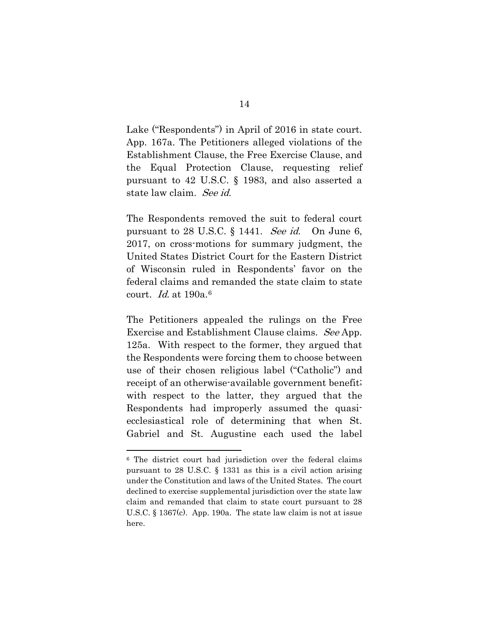Lake ("Respondents") in April of 2016 in state court. App. 167a. The Petitioners alleged violations of the Establishment Clause, the Free Exercise Clause, and the Equal Protection Clause, requesting relief pursuant to 42 U.S.C. § 1983, and also asserted a state law claim. See id.

The Respondents removed the suit to federal court pursuant to 28 U.S.C.  $\S$  1441. See id. On June 6, 2017, on cross-motions for summary judgment, the United States District Court for the Eastern District of Wisconsin ruled in Respondents' favor on the federal claims and remanded the state claim to state court. *Id.* at 190a.<sup>[6](#page-24-0)</sup>

The Petitioners appealed the rulings on the Free Exercise and Establishment Clause claims. See App. 125a. With respect to the former, they argued that the Respondents were forcing them to choose between use of their chosen religious label ("Catholic") and receipt of an otherwise-available government benefit; with respect to the latter, they argued that the Respondents had improperly assumed the quasiecclesiastical role of determining that when St. Gabriel and St. Augustine each used the label

<span id="page-24-0"></span><sup>6</sup> The district court had jurisdiction over the federal claims pursuant to 28 U.S.C. § 1331 as this is a civil action arising under the Constitution and laws of the United States. The court declined to exercise supplemental jurisdiction over the state law claim and remanded that claim to state court pursuant to 28 U.S.C. § 1367(c). App. 190a. The state law claim is not at issue here.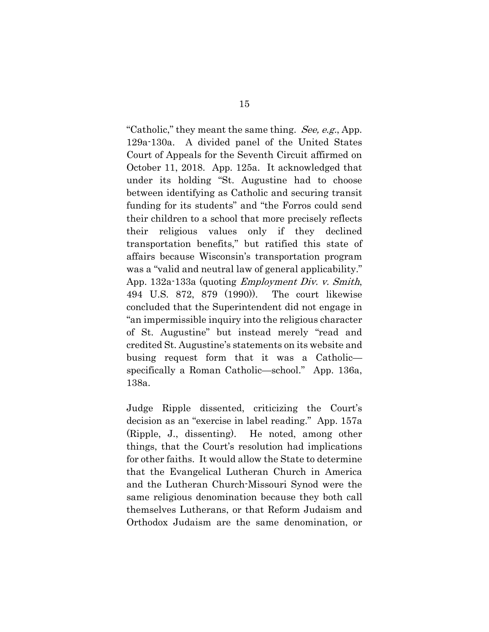"Catholic," they meant the same thing. See, e.g., App. 129a-130a. A divided panel of the United States Court of Appeals for the Seventh Circuit affirmed on October 11, 2018. App. 125a. It acknowledged that under its holding "St. Augustine had to choose between identifying as Catholic and securing transit funding for its students" and "the Forros could send their children to a school that more precisely reflects their religious values only if they declined transportation benefits," but ratified this state of affairs because Wisconsin's transportation program was a "valid and neutral law of general applicability." App. 132a-133a (quoting Employment Div. v. Smith, 494 U.S. 872, 879 (1990)). The court likewise concluded that the Superintendent did not engage in "an impermissible inquiry into the religious character of St. Augustine" but instead merely "read and credited St. Augustine's statements on its website and busing request form that it was a Catholic specifically a Roman Catholic—school." App. 136a, 138a.

Judge Ripple dissented, criticizing the Court's decision as an "exercise in label reading." App. 157a (Ripple, J., dissenting). He noted, among other things, that the Court's resolution had implications for other faiths. It would allow the State to determine that the Evangelical Lutheran Church in America and the Lutheran Church-Missouri Synod were the same religious denomination because they both call themselves Lutherans, or that Reform Judaism and Orthodox Judaism are the same denomination, or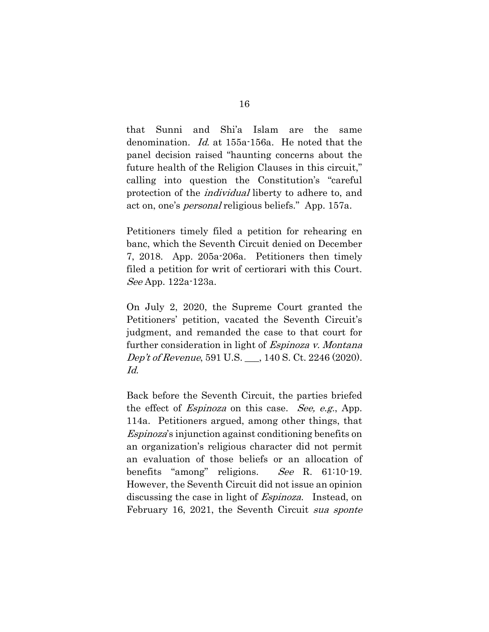that Sunni and Shi'a Islam are the same denomination. Id. at 155a-156a. He noted that the panel decision raised "haunting concerns about the future health of the Religion Clauses in this circuit," calling into question the Constitution's "careful protection of the individual liberty to adhere to, and act on, one's personal religious beliefs." App. 157a.

Petitioners timely filed a petition for rehearing en banc, which the Seventh Circuit denied on December 7, 2018. App. 205a-206a. Petitioners then timely filed a petition for writ of certiorari with this Court. See App. 122a-123a.

On July 2, 2020, the Supreme Court granted the Petitioners' petition, vacated the Seventh Circuit's judgment, and remanded the case to that court for further consideration in light of *Espinoza v. Montana* Dep't of Revenue, 591 U.S. \_\_\_, 140 S. Ct. 2246 (2020). Id.

Back before the Seventh Circuit, the parties briefed the effect of *Espinoza* on this case. *See, e.g.*, App. 114a. Petitioners argued, among other things, that Espinoza's injunction against conditioning benefits on an organization's religious character did not permit an evaluation of those beliefs or an allocation of benefits "among" religions. See R. 61:10-19. However, the Seventh Circuit did not issue an opinion discussing the case in light of *Espinoza*. Instead, on February 16, 2021, the Seventh Circuit sua sponte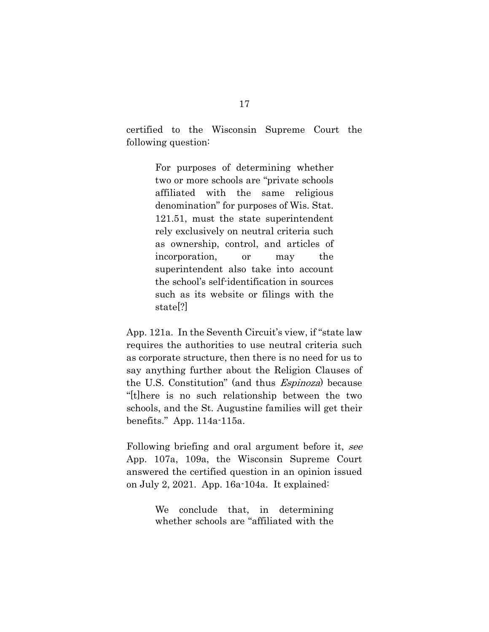certified to the Wisconsin Supreme Court the following question:

> For purposes of determining whether two or more schools are "private schools affiliated with the same religious denomination" for purposes of Wis. Stat. 121.51, must the state superintendent rely exclusively on neutral criteria such as ownership, control, and articles of incorporation, or may the superintendent also take into account the school's self-identification in sources such as its website or filings with the state[?]

App. 121a. In the Seventh Circuit's view, if "state law requires the authorities to use neutral criteria such as corporate structure, then there is no need for us to say anything further about the Religion Clauses of the U.S. Constitution" (and thus Espinoza) because "[t]here is no such relationship between the two schools, and the St. Augustine families will get their benefits." App. 114a-115a.

Following briefing and oral argument before it, see App. 107a, 109a, the Wisconsin Supreme Court answered the certified question in an opinion issued on July 2, 2021. App. 16a-104a. It explained:

> We conclude that, in determining whether schools are "affiliated with the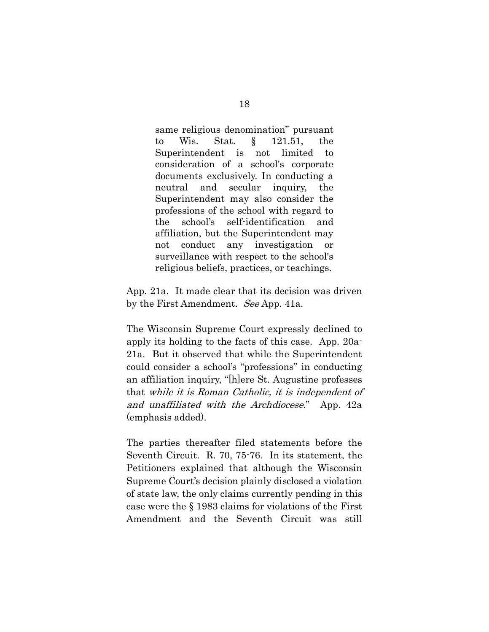same religious denomination" pursuant to Wis. Stat. § 121.51, the Superintendent is not limited to consideration of a school's corporate documents exclusively. In conducting a neutral and secular inquiry, the Superintendent may also consider the professions of the school with regard to the school's self-identification and affiliation, but the Superintendent may not conduct any investigation or surveillance with respect to the school's religious beliefs, practices, or teachings.

App. 21a. It made clear that its decision was driven by the First Amendment. See App. 41a.

The Wisconsin Supreme Court expressly declined to apply its holding to the facts of this case. App. 20a-21a. But it observed that while the Superintendent could consider a school's "professions" in conducting an affiliation inquiry, "[h]ere St. Augustine professes that while it is Roman Catholic, it is independent of and unaffiliated with the Archdiocese." App. 42a (emphasis added).

The parties thereafter filed statements before the Seventh Circuit. R. 70, 75-76. In its statement, the Petitioners explained that although the Wisconsin Supreme Court's decision plainly disclosed a violation of state law, the only claims currently pending in this case were the § 1983 claims for violations of the First Amendment and the Seventh Circuit was still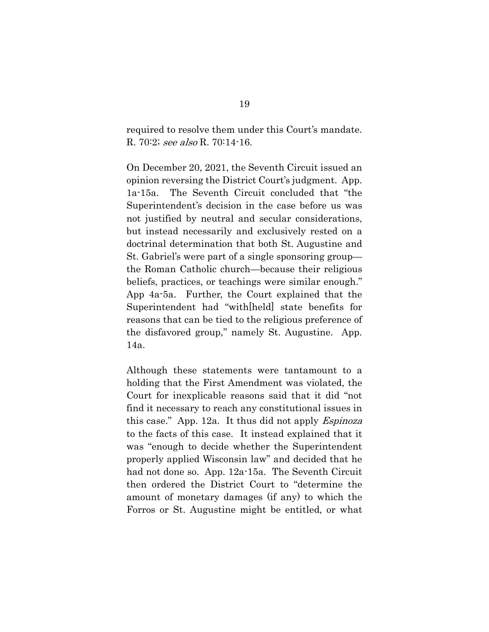required to resolve them under this Court's mandate. R. 70:2; see also R. 70:14-16.

On December 20, 2021, the Seventh Circuit issued an opinion reversing the District Court's judgment. App. 1a-15a. The Seventh Circuit concluded that "the Superintendent's decision in the case before us was not justified by neutral and secular considerations, but instead necessarily and exclusively rested on a doctrinal determination that both St. Augustine and St. Gabriel's were part of a single sponsoring group the Roman Catholic church—because their religious beliefs, practices, or teachings were similar enough." App 4a-5a. Further, the Court explained that the Superintendent had "with[held] state benefits for reasons that can be tied to the religious preference of the disfavored group," namely St. Augustine. App. 14a.

Although these statements were tantamount to a holding that the First Amendment was violated, the Court for inexplicable reasons said that it did "not find it necessary to reach any constitutional issues in this case." App. 12a. It thus did not apply Espinoza to the facts of this case. It instead explained that it was "enough to decide whether the Superintendent properly applied Wisconsin law" and decided that he had not done so. App. 12a-15a. The Seventh Circuit then ordered the District Court to "determine the amount of monetary damages (if any) to which the Forros or St. Augustine might be entitled, or what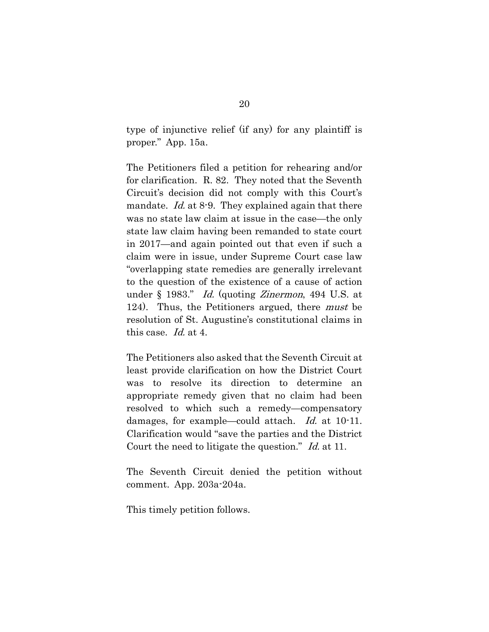type of injunctive relief (if any) for any plaintiff is proper." App. 15a.

The Petitioners filed a petition for rehearing and/or for clarification. R. 82. They noted that the Seventh Circuit's decision did not comply with this Court's mandate. *Id.* at 8-9. They explained again that there was no state law claim at issue in the case—the only state law claim having been remanded to state court in 2017—and again pointed out that even if such a claim were in issue, under Supreme Court case law "overlapping state remedies are generally irrelevant to the question of the existence of a cause of action under § 1983." Id. (quoting Zinermon, 494 U.S. at 124). Thus, the Petitioners argued, there *must* be resolution of St. Augustine's constitutional claims in this case. Id. at 4.

The Petitioners also asked that the Seventh Circuit at least provide clarification on how the District Court was to resolve its direction to determine an appropriate remedy given that no claim had been resolved to which such a remedy—compensatory damages, for example—could attach. Id. at 10-11. Clarification would "save the parties and the District Court the need to litigate the question." Id. at 11.

The Seventh Circuit denied the petition without comment. App. 203a-204a.

This timely petition follows.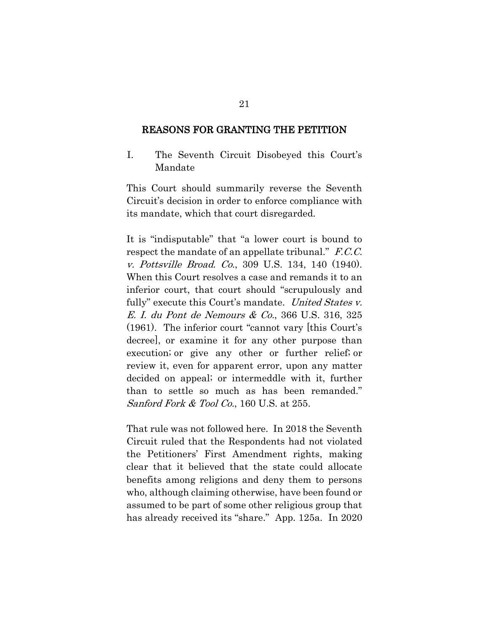#### REASONS FOR GRANTING THE PETITION

I. The Seventh Circuit Disobeyed this Court's Mandate

This Court should summarily reverse the Seventh Circuit's decision in order to enforce compliance with its mandate, which that court disregarded.

It is "indisputable" that "a lower court is bound to respect the mandate of an appellate tribunal." F.C.C. v. Pottsville Broad. Co., 309 U.S. 134, 140 (1940). When this Court resolves a case and remands it to an inferior court, that court should "scrupulously and fully" execute this Court's mandate. United States v. E. I. du Pont de Nemours & Co., 366 U.S. 316, 325 (1961). The inferior court "cannot vary [this Court's decree], or examine it for any other purpose than execution; or give any other or further relief; or review it, even for apparent error, upon any matter decided on appeal; or intermeddle with it, further than to settle so much as has been remanded." Sanford Fork  $&$  Tool Co., 160 U.S. at 255.

That rule was not followed here. In 2018 the Seventh Circuit ruled that the Respondents had not violated the Petitioners' First Amendment rights, making clear that it believed that the state could allocate benefits among religions and deny them to persons who, although claiming otherwise, have been found or assumed to be part of some other religious group that has already received its "share." App. 125a. In 2020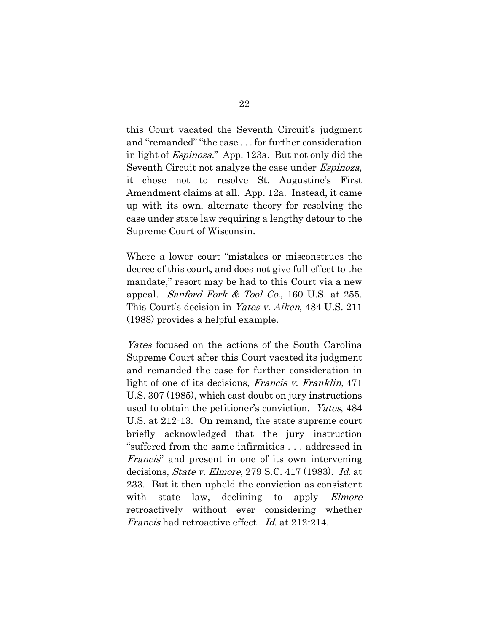this Court vacated the Seventh Circuit's judgment and "remanded" "the case . . . for further consideration in light of Espinoza." App. 123a. But not only did the Seventh Circuit not analyze the case under *Espinoza*, it chose not to resolve St. Augustine's First Amendment claims at all. App. 12a. Instead, it came up with its own, alternate theory for resolving the case under state law requiring a lengthy detour to the Supreme Court of Wisconsin.

Where a lower court "mistakes or misconstrues the decree of this court, and does not give full effect to the mandate," resort may be had to this Court via a new appeal. Sanford Fork & Tool Co., 160 U.S. at 255. This Court's decision in Yates v. Aiken, 484 U.S. 211 (1988) provides a helpful example.

Yates focused on the actions of the South Carolina Supreme Court after this Court vacated its judgment and remanded the case for further consideration in light of one of its decisions, Francis v. Franklin, 471 U.S. 307 (1985), which cast doubt on jury instructions used to obtain the petitioner's conviction. Yates, 484 U.S. at 212-13. On remand, the state supreme court briefly acknowledged that the jury instruction "suffered from the same infirmities . . . addressed in Francis" and present in one of its own intervening decisions, State v. Elmore, 279 S.C. 417 (1983). Id. at 233. But it then upheld the conviction as consistent with state law, declining to apply *Elmore* retroactively without ever considering whether Francis had retroactive effect. Id. at 212-214.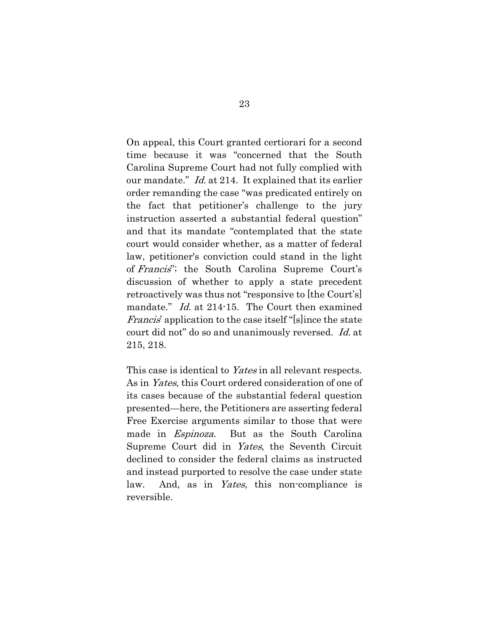On appeal, this Court granted certiorari for a second time because it was "concerned that the South Carolina Supreme Court had not fully complied with our mandate." Id. at 214. It explained that its earlier order remanding the case "was predicated entirely on the fact that petitioner's challenge to the jury instruction asserted a substantial federal question" and that its mandate "contemplated that the state court would consider whether, as a matter of federal law, petitioner's conviction could stand in the light of Francis"; the South Carolina Supreme Court's discussion of whether to apply a state precedent retroactively was thus not "responsive to [the Court's] mandate." *Id.* at 214-15. The Court then examined *Francis*' application to the case itself "[s]ince the state court did not" do so and unanimously reversed. Id. at 215, 218.

This case is identical to Yates in all relevant respects. As in Yates, this Court ordered consideration of one of its cases because of the substantial federal question presented—here, the Petitioners are asserting federal Free Exercise arguments similar to those that were made in *Espinoza*. But as the South Carolina Supreme Court did in Yates, the Seventh Circuit declined to consider the federal claims as instructed and instead purported to resolve the case under state law. And, as in Yates, this non-compliance is reversible.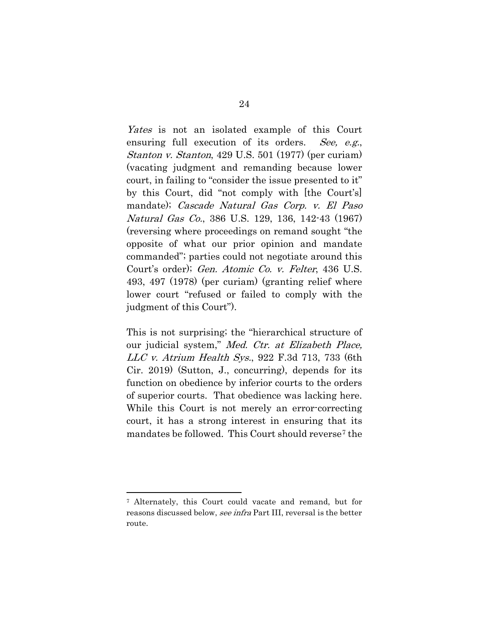Yates is not an isolated example of this Court ensuring full execution of its orders. See, e.g., Stanton v. Stanton, 429 U.S. 501 (1977) (per curiam) (vacating judgment and remanding because lower court, in failing to "consider the issue presented to it" by this Court, did "not comply with [the Court's] mandate); Cascade Natural Gas Corp. v. El Paso Natural Gas Co., 386 U.S. 129, 136, 142-43 (1967) (reversing where proceedings on remand sought "the opposite of what our prior opinion and mandate commanded"; parties could not negotiate around this Court's order); Gen. Atomic Co. v. Felter, 436 U.S. 493, 497 (1978) (per curiam) (granting relief where lower court "refused or failed to comply with the judgment of this Court").

This is not surprising; the "hierarchical structure of our judicial system," Med. Ctr. at Elizabeth Place,  $LLC$  v. Atrium Health Sys., 922 F.3d 713, 733 (6th Cir. 2019) (Sutton, J., concurring), depends for its function on obedience by inferior courts to the orders of superior courts. That obedience was lacking here. While this Court is not merely an error-correcting court, it has a strong interest in ensuring that its mandates be followed. This Court should reverse<sup>[7](#page-34-0)</sup> the

<span id="page-34-0"></span><sup>7</sup> Alternately, this Court could vacate and remand, but for reasons discussed below, see infra Part III, reversal is the better route.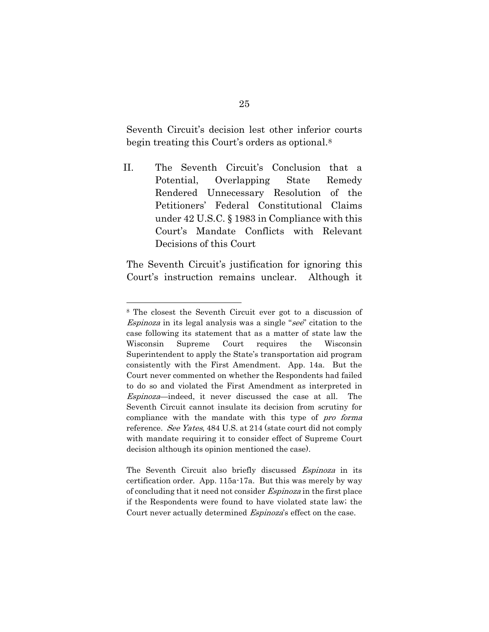Seventh Circuit's decision lest other inferior courts begin treating this Court's orders as optional.[8](#page-35-0) 

II. The Seventh Circuit's Conclusion that a Potential, Overlapping State Remedy Rendered Unnecessary Resolution of the Petitioners' Federal Constitutional Claims under 42 U.S.C. § 1983 in Compliance with this Court's Mandate Conflicts with Relevant Decisions of this Court

The Seventh Circuit's justification for ignoring this Court's instruction remains unclear. Although it

<span id="page-35-0"></span><sup>8</sup> The closest the Seventh Circuit ever got to a discussion of Espinoza in its legal analysis was a single "see" citation to the case following its statement that as a matter of state law the Wisconsin Supreme Court requires the Wisconsin Superintendent to apply the State's transportation aid program consistently with the First Amendment. App. 14a. But the Court never commented on whether the Respondents had failed to do so and violated the First Amendment as interpreted in Espinoza—indeed, it never discussed the case at all. The Seventh Circuit cannot insulate its decision from scrutiny for compliance with the mandate with this type of pro forma reference. See Yates, 484 U.S. at 214 (state court did not comply with mandate requiring it to consider effect of Supreme Court decision although its opinion mentioned the case).

The Seventh Circuit also briefly discussed *Espinoza* in its certification order. App. 115a-17a. But this was merely by way of concluding that it need not consider Espinoza in the first place if the Respondents were found to have violated state law; the Court never actually determined Espinoza's effect on the case.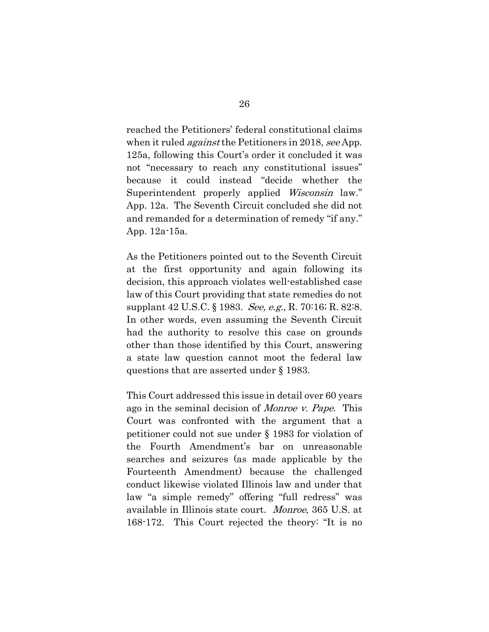reached the Petitioners' federal constitutional claims when it ruled *against* the Petitioners in 2018, see App. 125a, following this Court's order it concluded it was not "necessary to reach any constitutional issues" because it could instead "decide whether the Superintendent properly applied Wisconsin law." App. 12a. The Seventh Circuit concluded she did not and remanded for a determination of remedy "if any." App. 12a-15a.

As the Petitioners pointed out to the Seventh Circuit at the first opportunity and again following its decision, this approach violates well-established case law of this Court providing that state remedies do not supplant 42 U.S.C. § 1983. See, e.g., R. 70:16; R. 82:8. In other words, even assuming the Seventh Circuit had the authority to resolve this case on grounds other than those identified by this Court, answering a state law question cannot moot the federal law questions that are asserted under § 1983.

This Court addressed this issue in detail over 60 years ago in the seminal decision of Monroe v. Pape. This Court was confronted with the argument that a petitioner could not sue under § 1983 for violation of the Fourth Amendment's bar on unreasonable searches and seizures (as made applicable by the Fourteenth Amendment) because the challenged conduct likewise violated Illinois law and under that law "a simple remedy" offering "full redress" was available in Illinois state court. Monroe, 365 U.S. at 168-172. This Court rejected the theory: "It is no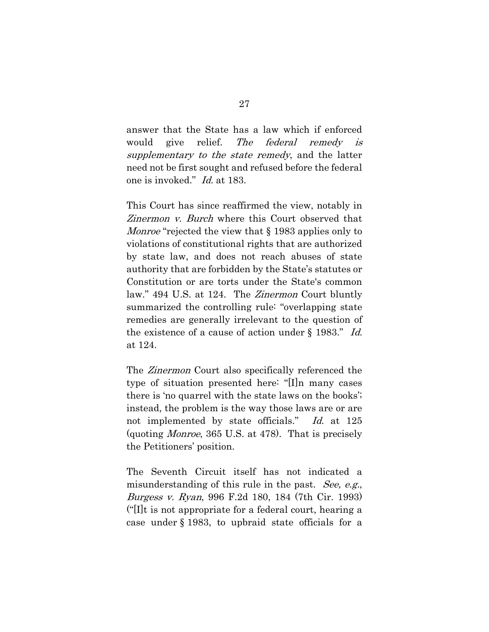answer that the State has a law which if enforced would give relief. The federal remedy is supplementary to the state remedy, and the latter need not be first sought and refused before the federal one is invoked." Id. at 183.

This Court has since reaffirmed the view, notably in Zinermon v. Burch where this Court observed that Monroe "rejected the view that § 1983 applies only to violations of constitutional rights that are authorized by state law, and does not reach abuses of state authority that are forbidden by the State's statutes or Constitution or are torts under the State's common law." 494 U.S. at 124. The Zinermon Court bluntly summarized the controlling rule: "overlapping state remedies are generally irrelevant to the question of the existence of a cause of action under § 1983." Id. at 124.

The Zinermon Court also specifically referenced the type of situation presented here: "[I]n many cases there is 'no quarrel with the state laws on the books'; instead, the problem is the way those laws are or are not implemented by state officials." Id. at 125 (quoting Monroe, 365 U.S. at 478). That is precisely the Petitioners' position.

The Seventh Circuit itself has not indicated a misunderstanding of this rule in the past. See, e.g., Burgess v. Ryan, 996 F.2d 180, 184 (7th Cir. 1993)  $\llbracket f \rrbracket$  is not appropriate for a federal court, hearing a case under § 1983, to upbraid state officials for a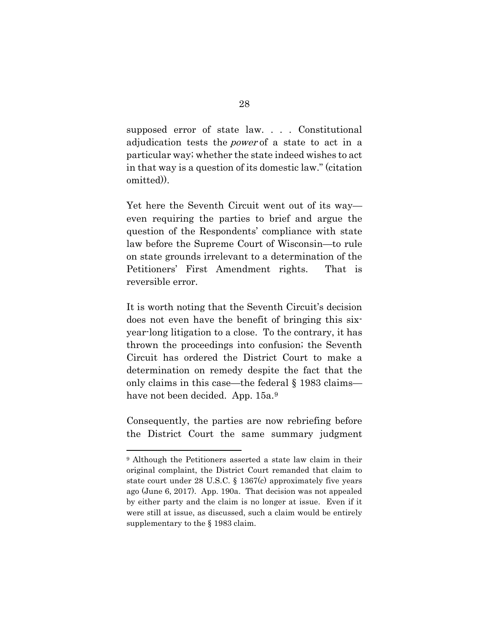supposed error of state law. . . . Constitutional adjudication tests the *power* of a state to act in a particular way; whether the state indeed wishes to act in that way is a question of its domestic law." (citation omitted)).

Yet here the Seventh Circuit went out of its way even requiring the parties to brief and argue the question of the Respondents' compliance with state law before the Supreme Court of Wisconsin—to rule on state grounds irrelevant to a determination of the Petitioners' First Amendment rights. That is reversible error.

It is worth noting that the Seventh Circuit's decision does not even have the benefit of bringing this sixyear-long litigation to a close. To the contrary, it has thrown the proceedings into confusion; the Seventh Circuit has ordered the District Court to make a determination on remedy despite the fact that the only claims in this case—the federal § 1983 claims— have not been decided. App. 15a.<sup>[9](#page-38-0)</sup>

Consequently, the parties are now rebriefing before the District Court the same summary judgment

<span id="page-38-0"></span><sup>&</sup>lt;sup>9</sup> Although the Petitioners asserted a state law claim in their original complaint, the District Court remanded that claim to state court under 28 U.S.C. § 1367(c) approximately five years ago (June 6, 2017). App. 190a. That decision was not appealed by either party and the claim is no longer at issue. Even if it were still at issue, as discussed, such a claim would be entirely supplementary to the § 1983 claim.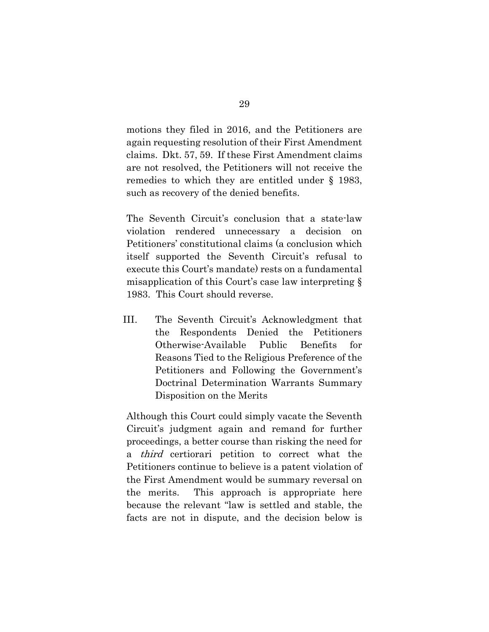motions they filed in 2016, and the Petitioners are again requesting resolution of their First Amendment claims. Dkt. 57, 59. If these First Amendment claims are not resolved, the Petitioners will not receive the remedies to which they are entitled under § 1983, such as recovery of the denied benefits.

The Seventh Circuit's conclusion that a state-law violation rendered unnecessary a decision on Petitioners' constitutional claims (a conclusion which itself supported the Seventh Circuit's refusal to execute this Court's mandate) rests on a fundamental misapplication of this Court's case law interpreting § 1983. This Court should reverse.

III. The Seventh Circuit's Acknowledgment that the Respondents Denied the Petitioners Otherwise-Available Public Benefits for Reasons Tied to the Religious Preference of the Petitioners and Following the Government's Doctrinal Determination Warrants Summary Disposition on the Merits

Although this Court could simply vacate the Seventh Circuit's judgment again and remand for further proceedings, a better course than risking the need for a third certiorari petition to correct what the Petitioners continue to believe is a patent violation of the First Amendment would be summary reversal on the merits. This approach is appropriate here because the relevant "law is settled and stable, the facts are not in dispute, and the decision below is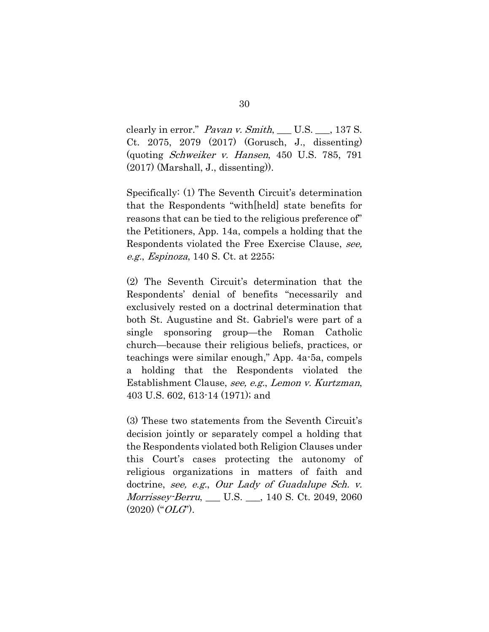clearly in error." Pavan v. Smith, \_\_ U.S. \_\_, 137 S. Ct. 2075, 2079 (2017) (Gorusch, J., dissenting) (quoting Schweiker v. Hansen, 450 U.S. 785, 791 (2017) (Marshall, J., dissenting)).

Specifically: (1) The Seventh Circuit's determination that the Respondents "with[held] state benefits for reasons that can be tied to the religious preference of" the Petitioners, App. 14a, compels a holding that the Respondents violated the Free Exercise Clause, see, e.g., Espinoza, 140 S. Ct. at 2255;

(2) The Seventh Circuit's determination that the Respondents' denial of benefits "necessarily and exclusively rested on a doctrinal determination that both St. Augustine and St. Gabriel's were part of a single sponsoring group—the Roman Catholic church—because their religious beliefs, practices, or teachings were similar enough," App. 4a-5a, compels a holding that the Respondents violated the Establishment Clause, see, e.g., Lemon v. Kurtzman, 403 U.S. 602, 613-14 (1971); and

(3) These two statements from the Seventh Circuit's decision jointly or separately compel a holding that the Respondents violated both Religion Clauses under this Court's cases protecting the autonomy of religious organizations in matters of faith and doctrine, see, e.g., Our Lady of Guadalupe Sch. v. Morrissey-Berru, \_\_\_ U.S. \_\_\_, 140 S. Ct. 2049, 2060  $(2020)$  (" $OLG$ ").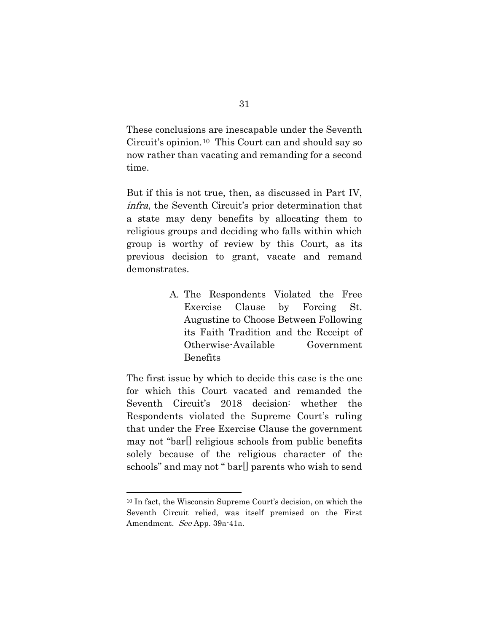These conclusions are inescapable under the Seventh Circuit's opinion.[10](#page-41-0) This Court can and should say so now rather than vacating and remanding for a second time.

But if this is not true, then, as discussed in Part IV, infra, the Seventh Circuit's prior determination that a state may deny benefits by allocating them to religious groups and deciding who falls within which group is worthy of review by this Court, as its previous decision to grant, vacate and remand demonstrates.

> A. The Respondents Violated the Free Exercise Clause by Forcing St. Augustine to Choose Between Following its Faith Tradition and the Receipt of Otherwise-Available Government Benefits

The first issue by which to decide this case is the one for which this Court vacated and remanded the Seventh Circuit's 2018 decision: whether the Respondents violated the Supreme Court's ruling that under the Free Exercise Clause the government may not "bar[] religious schools from public benefits solely because of the religious character of the schools" and may not " bar[] parents who wish to send

<span id="page-41-0"></span><sup>10</sup> In fact, the Wisconsin Supreme Court's decision, on which the Seventh Circuit relied, was itself premised on the First Amendment. See App. 39a-41a.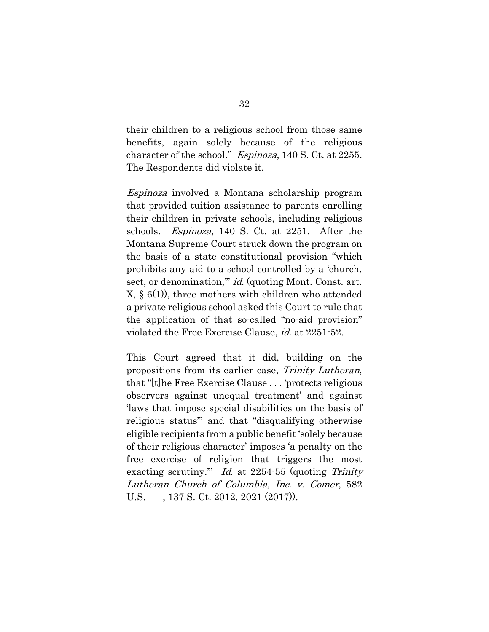their children to a religious school from those same benefits, again solely because of the religious character of the school." Espinoza, 140 S. Ct. at 2255. The Respondents did violate it.

Espinoza involved a Montana scholarship program that provided tuition assistance to parents enrolling their children in private schools, including religious schools. Espinoza, 140 S. Ct. at 2251. After the Montana Supreme Court struck down the program on the basis of a state constitutional provision "which prohibits any aid to a school controlled by a 'church, sect, or denomination,"" id. (quoting Mont. Const. art. X, § 6(1)), three mothers with children who attended a private religious school asked this Court to rule that the application of that so-called "no-aid provision" violated the Free Exercise Clause, id. at 2251-52.

This Court agreed that it did, building on the propositions from its earlier case, Trinity Lutheran, that "[t]he Free Exercise Clause . . . 'protects religious observers against unequal treatment' and against 'laws that impose special disabilities on the basis of religious status'" and that "disqualifying otherwise eligible recipients from a public benefit 'solely because of their religious character' imposes 'a penalty on the free exercise of religion that triggers the most exacting scrutiny."" Id. at 2254-55 (quoting Trinity Lutheran Church of Columbia, Inc. v. Comer, 582 U.S. \_\_\_, 137 S. Ct. 2012, 2021 (2017)).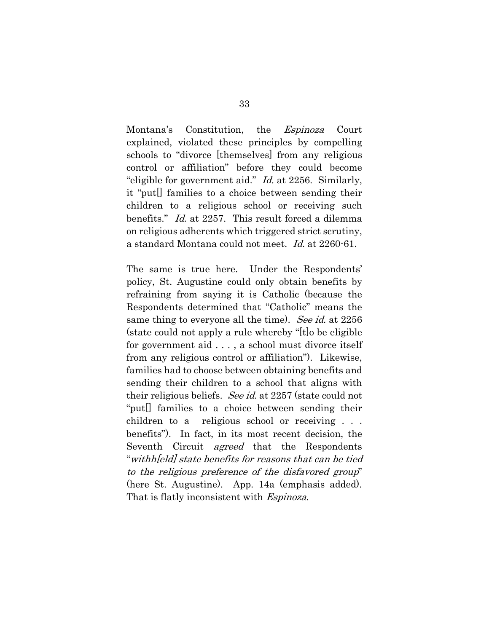Montana's Constitution, the Espinoza Court explained, violated these principles by compelling schools to "divorce [themselves] from any religious control or affiliation" before they could become "eligible for government aid." Id. at 2256. Similarly, it "put[] families to a choice between sending their children to a religious school or receiving such benefits." Id. at 2257. This result forced a dilemma on religious adherents which triggered strict scrutiny, a standard Montana could not meet. Id. at 2260-61.

The same is true here. Under the Respondents' policy, St. Augustine could only obtain benefits by refraining from saying it is Catholic (because the Respondents determined that "Catholic" means the same thing to everyone all the time). See id. at 2256 (state could not apply a rule whereby "[t]o be eligible for government aid . . . , a school must divorce itself from any religious control or affiliation"). Likewise, families had to choose between obtaining benefits and sending their children to a school that aligns with their religious beliefs. See id. at 2257 (state could not "put[] families to a choice between sending their children to a religious school or receiving . . . benefits"). In fact, in its most recent decision, the Seventh Circuit *agreed* that the Respondents "withh[eld] state benefits for reasons that can be tied to the religious preference of the disfavored group" (here St. Augustine). App. 14a (emphasis added). That is flatly inconsistent with *Espinoza*.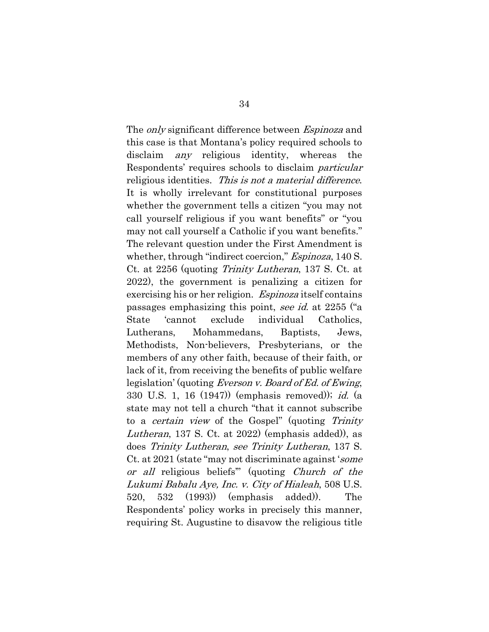The *only* significant difference between *Espinoza* and this case is that Montana's policy required schools to disclaim any religious identity, whereas the Respondents' requires schools to disclaim particular religious identities. This is not a material difference. It is wholly irrelevant for constitutional purposes whether the government tells a citizen "you may not call yourself religious if you want benefits" or "you may not call yourself a Catholic if you want benefits." The relevant question under the First Amendment is whether, through "indirect coercion," *Espinoza*, 140 S. Ct. at 2256 (quoting Trinity Lutheran, 137 S. Ct. at 2022), the government is penalizing a citizen for exercising his or her religion. *Espinoza* itself contains passages emphasizing this point, see id. at 2255 ("a State 'cannot exclude individual Catholics, Lutherans, Mohammedans, Baptists, Jews, Methodists, Non-believers, Presbyterians, or the members of any other faith, because of their faith, or lack of it, from receiving the benefits of public welfare legislation' (quoting *Everson v. Board of Ed. of Ewing*, 330 U.S. 1, 16 (1947)) (emphasis removed)); id. (a state may not tell a church "that it cannot subscribe to a certain view of the Gospel" (quoting Trinity Lutheran, 137 S. Ct. at 2022) (emphasis added)), as does Trinity Lutheran, see Trinity Lutheran, 137 S. Ct. at 2021 (state "may not discriminate against 'some or all religious beliefs'" (quoting Church of the Lukumi Babalu Aye, Inc. v. City of Hialeah, 508 U.S. 520, 532 (1993)) (emphasis added)). The Respondents' policy works in precisely this manner, requiring St. Augustine to disavow the religious title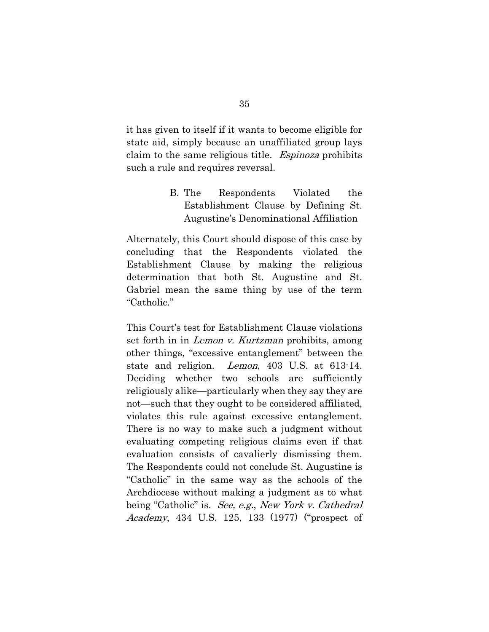it has given to itself if it wants to become eligible for state aid, simply because an unaffiliated group lays claim to the same religious title. Espinoza prohibits such a rule and requires reversal.

> B. The Respondents Violated the Establishment Clause by Defining St. Augustine's Denominational Affiliation

Alternately, this Court should dispose of this case by concluding that the Respondents violated the Establishment Clause by making the religious determination that both St. Augustine and St. Gabriel mean the same thing by use of the term "Catholic."

This Court's test for Establishment Clause violations set forth in in *Lemon v. Kurtzman* prohibits, among other things, "excessive entanglement" between the state and religion. Lemon, 403 U.S. at 613-14. Deciding whether two schools are sufficiently religiously alike—particularly when they say they are not—such that they ought to be considered affiliated, violates this rule against excessive entanglement. There is no way to make such a judgment without evaluating competing religious claims even if that evaluation consists of cavalierly dismissing them. The Respondents could not conclude St. Augustine is "Catholic" in the same way as the schools of the Archdiocese without making a judgment as to what being "Catholic" is. See, e.g., New York v. Cathedral Academy, 434 U.S. 125, 133 (1977) ("prospect of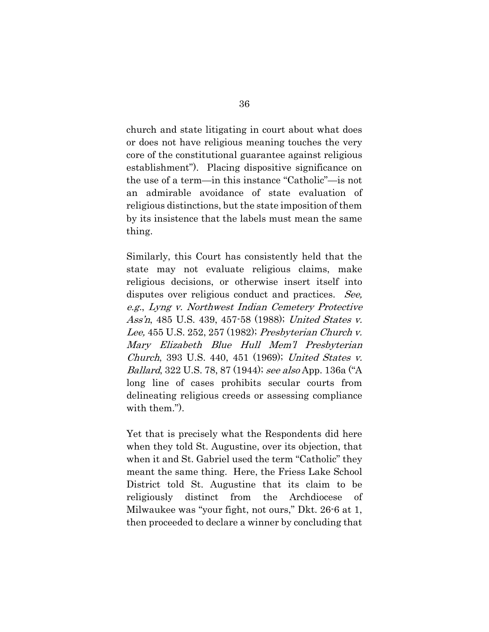church and state litigating in court about what does or does not have religious meaning touches the very core of the constitutional guarantee against religious establishment"). Placing dispositive significance on the use of a term—in this instance "Catholic"—is not an admirable avoidance of state evaluation of religious distinctions, but the state imposition of them by its insistence that the labels must mean the same thing.

Similarly, this Court has consistently held that the state may not evaluate religious claims, make religious decisions, or otherwise insert itself into disputes over religious conduct and practices. See, e.g., Lyng v. Northwest Indian Cemetery Protective Ass'n, 485 U.S. 439, 457-58 (1988); United States v. Lee, 455 U.S. 252, 257 (1982); Presbyterian Church v. Mary Elizabeth Blue Hull Mem'l Presbyterian Church, 393 U.S. 440, 451 (1969); United States v. Ballard, 322 U.S. 78, 87 (1944); see also App. 136a ("A long line of cases prohibits secular courts from delineating religious creeds or assessing compliance with them.").

Yet that is precisely what the Respondents did here when they told St. Augustine, over its objection, that when it and St. Gabriel used the term "Catholic" they meant the same thing. Here, the Friess Lake School District told St. Augustine that its claim to be religiously distinct from the Archdiocese of Milwaukee was "your fight, not ours," Dkt. 26-6 at 1, then proceeded to declare a winner by concluding that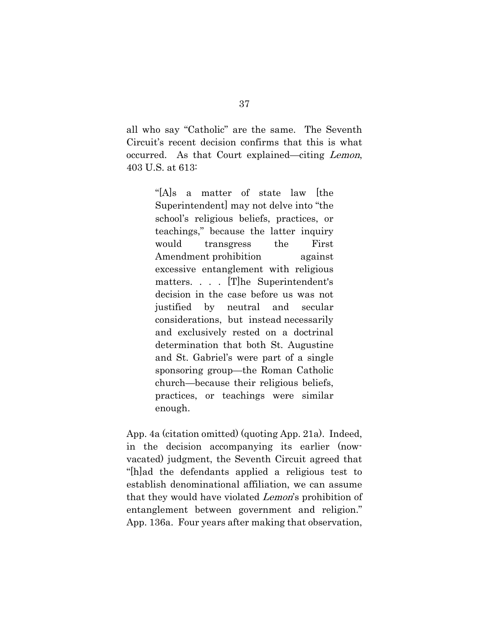all who say "Catholic" are the same. The Seventh Circuit's recent decision confirms that this is what occurred. As that Court explained—citing Lemon, 403 U.S. at 613:

> "[A]s a matter of state law [the Superintendent] may not delve into "the school's religious beliefs, practices, or teachings," because the latter inquiry would transgress the First Amendment prohibition against excessive entanglement with religious matters. . . . [T]he Superintendent's decision in the case before us was not justified by neutral and secular considerations, but instead necessarily and exclusively rested on a doctrinal determination that both St. Augustine and St. Gabriel's were part of a single sponsoring group—the Roman Catholic church—because their religious beliefs, practices, or teachings were similar enough.

App. 4a (citation omitted) (quoting App. 21a). Indeed, in the decision accompanying its earlier (nowvacated) judgment, the Seventh Circuit agreed that "[h]ad the defendants applied a religious test to establish denominational affiliation, we can assume that they would have violated Lemon's prohibition of entanglement between government and religion." App. 136a. Four years after making that observation,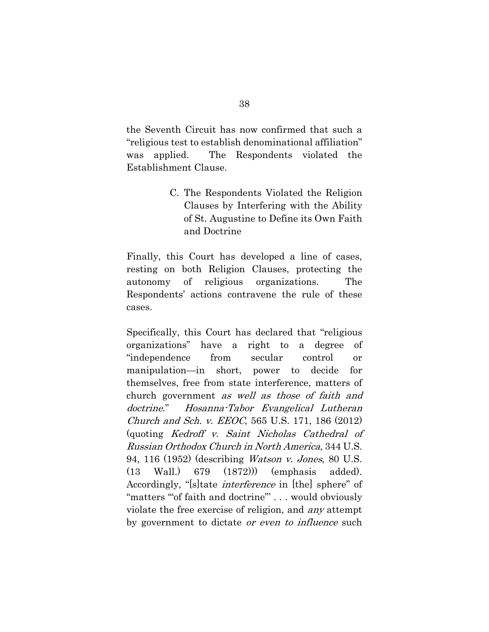the Seventh Circuit has now confirmed that such a "religious test to establish denominational affiliation" was applied. The Respondents violated the Establishment Clause.

> C. The Respondents Violated the Religion Clauses by Interfering with the Ability of St. Augustine to Define its Own Faith and Doctrine

Finally, this Court has developed a line of cases, resting on both Religion Clauses, protecting the autonomy of religious organizations. The Respondents' actions contravene the rule of these cases.

Specifically, this Court has declared that "religious organizations" have a right to a degree of "independence from secular control or manipulation—in short, power to decide for themselves, free from state interference, matters of church government as well as those of faith and doctrine." Hosanna-Tabor Evangelical Lutheran Church and Sch. v. EEOC, 565 U.S. 171, 186 (2012) (quoting Kedroff v. Saint Nicholas Cathedral of Russian Orthodox Church in North America, 344 U.S. 94, 116 (1952) (describing Watson v. Jones, 80 U.S. (13 Wall.) 679 (1872))) (emphasis added). Accordingly, "[s]tate *interference* in [the] sphere" of "matters '"of faith and doctrine"' . . . would obviously violate the free exercise of religion, and any attempt by government to dictate *or even to influence* such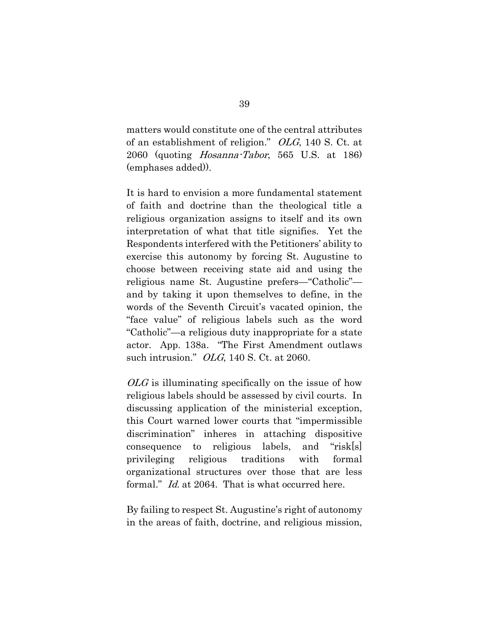matters would constitute one of the central attributes of an establishment of religion." OLG, 140 S. Ct. at 2060 (quoting Hosanna-Tabor, 565 U.S. at 186) (emphases added)).

It is hard to envision a more fundamental statement of faith and doctrine than the theological title a religious organization assigns to itself and its own interpretation of what that title signifies. Yet the Respondents interfered with the Petitioners' ability to exercise this autonomy by forcing St. Augustine to choose between receiving state aid and using the religious name St. Augustine prefers—"Catholic" and by taking it upon themselves to define, in the words of the Seventh Circuit's vacated opinion, the "face value" of religious labels such as the word "Catholic"—a religious duty inappropriate for a state actor. App. 138a. "The First Amendment outlaws such intrusion."  $OLG$ , 140 S. Ct. at 2060.

 $OLG$  is illuminating specifically on the issue of how religious labels should be assessed by civil courts. In discussing application of the ministerial exception, this Court warned lower courts that "impermissible discrimination" inheres in attaching dispositive consequence to religious labels, and "risk[s] privileging religious traditions with formal organizational structures over those that are less formal." *Id.* at 2064. That is what occurred here.

By failing to respect St. Augustine's right of autonomy in the areas of faith, doctrine, and religious mission,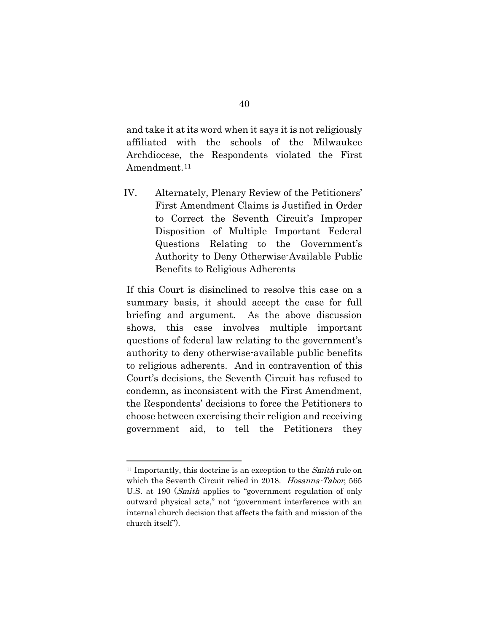and take it at its word when it says it is not religiously affiliated with the schools of the Milwaukee Archdiocese, the Respondents violated the First Amendment.<sup>[11](#page-50-0)</sup>

IV. Alternately, Plenary Review of the Petitioners' First Amendment Claims is Justified in Order to Correct the Seventh Circuit's Improper Disposition of Multiple Important Federal Questions Relating to the Government's Authority to Deny Otherwise-Available Public Benefits to Religious Adherents

If this Court is disinclined to resolve this case on a summary basis, it should accept the case for full briefing and argument. As the above discussion shows, this case involves multiple important questions of federal law relating to the government's authority to deny otherwise-available public benefits to religious adherents. And in contravention of this Court's decisions, the Seventh Circuit has refused to condemn, as inconsistent with the First Amendment, the Respondents' decisions to force the Petitioners to choose between exercising their religion and receiving government aid, to tell the Petitioners they

<span id="page-50-0"></span> $11$  Importantly, this doctrine is an exception to the *Smith* rule on which the Seventh Circuit relied in 2018. Hosanna-Tabor, 565 U.S. at 190 (Smith applies to "government regulation of only outward physical acts," not "government interference with an internal church decision that affects the faith and mission of the church itself").